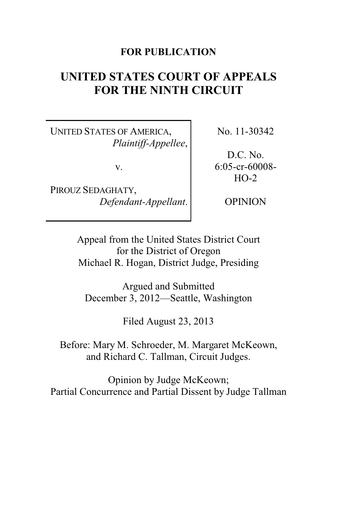## **FOR PUBLICATION**

# **UNITED STATES COURT OF APPEALS FOR THE NINTH CIRCUIT**

UNITED STATES OF AMERICA, *Plaintiff-Appellee*,

v.

PIROUZ SEDAGHATY, *Defendant-Appellant*. No. 11-30342

D.C. No. 6:05-cr-60008-  $HO-2$ 

OPINION

Appeal from the United States District Court for the District of Oregon Michael R. Hogan, District Judge, Presiding

Argued and Submitted December 3, 2012—Seattle, Washington

Filed August 23, 2013

Before: Mary M. Schroeder, M. Margaret McKeown, and Richard C. Tallman, Circuit Judges.

Opinion by Judge McKeown; Partial Concurrence and Partial Dissent by Judge Tallman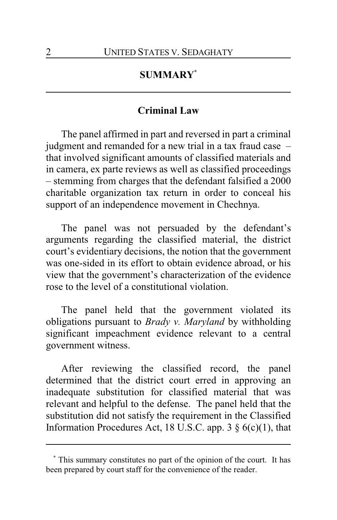# **SUMMARY\***

### **Criminal Law**

The panel affirmed in part and reversed in part a criminal judgment and remanded for a new trial in a tax fraud case – that involved significant amounts of classified materials and in camera, ex parte reviews as well as classified proceedings – stemming from charges that the defendant falsified a 2000 charitable organization tax return in order to conceal his support of an independence movement in Chechnya.

The panel was not persuaded by the defendant's arguments regarding the classified material, the district court's evidentiary decisions, the notion that the government was one-sided in its effort to obtain evidence abroad, or his view that the government's characterization of the evidence rose to the level of a constitutional violation.

The panel held that the government violated its obligations pursuant to *Brady v. Maryland* by withholding significant impeachment evidence relevant to a central government witness.

After reviewing the classified record, the panel determined that the district court erred in approving an inadequate substitution for classified material that was relevant and helpful to the defense. The panel held that the substitution did not satisfy the requirement in the Classified Information Procedures Act, 18 U.S.C. app. 3  $\S$  6(c)(1), that

**<sup>\*</sup>** This summary constitutes no part of the opinion of the court. It has been prepared by court staff for the convenience of the reader.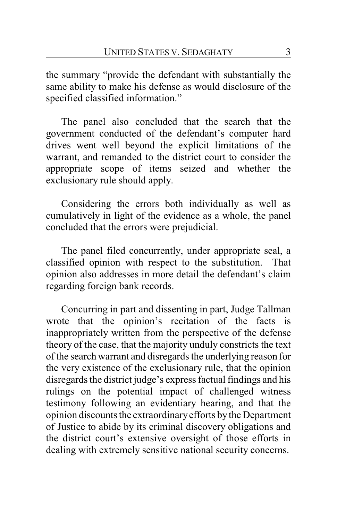the summary "provide the defendant with substantially the same ability to make his defense as would disclosure of the specified classified information."

The panel also concluded that the search that the government conducted of the defendant's computer hard drives went well beyond the explicit limitations of the warrant, and remanded to the district court to consider the appropriate scope of items seized and whether the exclusionary rule should apply.

Considering the errors both individually as well as cumulatively in light of the evidence as a whole, the panel concluded that the errors were prejudicial.

The panel filed concurrently, under appropriate seal, a classified opinion with respect to the substitution. That opinion also addresses in more detail the defendant's claim regarding foreign bank records.

Concurring in part and dissenting in part, Judge Tallman wrote that the opinion's recitation of the facts is inappropriately written from the perspective of the defense theory of the case, that the majority unduly constricts the text of the search warrant and disregards the underlying reason for the very existence of the exclusionary rule, that the opinion disregards the district judge's express factual findings and his rulings on the potential impact of challenged witness testimony following an evidentiary hearing, and that the opinion discounts the extraordinaryefforts by the Department of Justice to abide by its criminal discovery obligations and the district court's extensive oversight of those efforts in dealing with extremely sensitive national security concerns.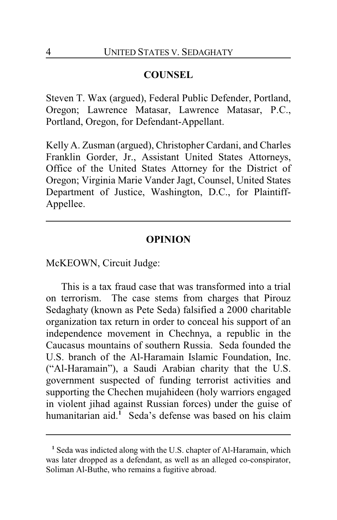### **COUNSEL**

Steven T. Wax (argued), Federal Public Defender, Portland, Oregon; Lawrence Matasar, Lawrence Matasar, P.C., Portland, Oregon, for Defendant-Appellant.

Kelly A. Zusman (argued), Christopher Cardani, and Charles Franklin Gorder, Jr., Assistant United States Attorneys, Office of the United States Attorney for the District of Oregon; Virginia Marie Vander Jagt, Counsel, United States Department of Justice, Washington, D.C., for Plaintiff-Appellee.

### **OPINION**

McKEOWN, Circuit Judge:

This is a tax fraud case that was transformed into a trial on terrorism. The case stems from charges that Pirouz Sedaghaty (known as Pete Seda) falsified a 2000 charitable organization tax return in order to conceal his support of an independence movement in Chechnya, a republic in the Caucasus mountains of southern Russia. Seda founded the U.S. branch of the Al-Haramain Islamic Foundation, Inc. ("Al-Haramain"), a Saudi Arabian charity that the U.S. government suspected of funding terrorist activities and supporting the Chechen mujahideen (holy warriors engaged in violent jihad against Russian forces) under the guise of humanitarian aid. **<sup>1</sup>** Seda's defense was based on his claim

**<sup>1</sup>** Seda was indicted along with the U.S. chapter of Al-Haramain, which was later dropped as a defendant, as well as an alleged co-conspirator, Soliman Al-Buthe, who remains a fugitive abroad.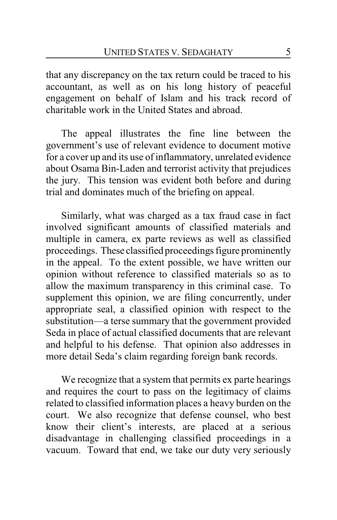that any discrepancy on the tax return could be traced to his accountant, as well as on his long history of peaceful engagement on behalf of Islam and his track record of charitable work in the United States and abroad.

The appeal illustrates the fine line between the government's use of relevant evidence to document motive for a cover up and its use of inflammatory, unrelated evidence about Osama Bin-Laden and terrorist activity that prejudices the jury. This tension was evident both before and during trial and dominates much of the briefing on appeal.

Similarly, what was charged as a tax fraud case in fact involved significant amounts of classified materials and multiple in camera, ex parte reviews as well as classified proceedings. These classified proceedings figure prominently in the appeal. To the extent possible, we have written our opinion without reference to classified materials so as to allow the maximum transparency in this criminal case. To supplement this opinion, we are filing concurrently, under appropriate seal, a classified opinion with respect to the substitution—a terse summary that the government provided Seda in place of actual classified documents that are relevant and helpful to his defense. That opinion also addresses in more detail Seda's claim regarding foreign bank records.

We recognize that a system that permits ex parte hearings and requires the court to pass on the legitimacy of claims related to classified information places a heavy burden on the court. We also recognize that defense counsel, who best know their client's interests, are placed at a serious disadvantage in challenging classified proceedings in a vacuum. Toward that end, we take our duty very seriously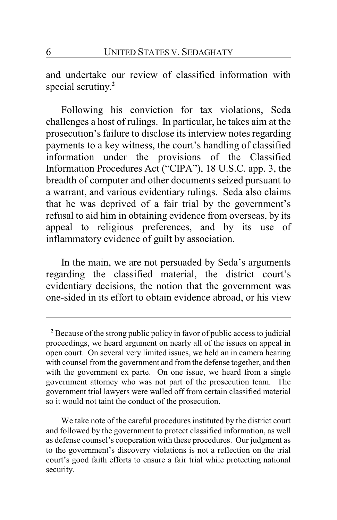and undertake our review of classified information with special scrutiny. **2**

Following his conviction for tax violations, Seda challenges a host of rulings. In particular, he takes aim at the prosecution's failure to disclose its interview notes regarding payments to a key witness, the court's handling of classified information under the provisions of the Classified Information Procedures Act ("CIPA"), 18 U.S.C. app. 3, the breadth of computer and other documents seized pursuant to a warrant, and various evidentiary rulings. Seda also claims that he was deprived of a fair trial by the government's refusal to aid him in obtaining evidence from overseas, by its appeal to religious preferences, and by its use of inflammatory evidence of guilt by association.

In the main, we are not persuaded by Seda's arguments regarding the classified material, the district court's evidentiary decisions, the notion that the government was one-sided in its effort to obtain evidence abroad, or his view

**<sup>2</sup>** Because of the strong public policy in favor of public access to judicial proceedings, we heard argument on nearly all of the issues on appeal in open court. On several very limited issues, we held an in camera hearing with counsel from the government and from the defense together, and then with the government ex parte. On one issue, we heard from a single government attorney who was not part of the prosecution team. The government trial lawyers were walled off from certain classified material so it would not taint the conduct of the prosecution.

We take note of the careful procedures instituted by the district court and followed by the government to protect classified information, as well as defense counsel's cooperation with these procedures. Our judgment as to the government's discovery violations is not a reflection on the trial court's good faith efforts to ensure a fair trial while protecting national security.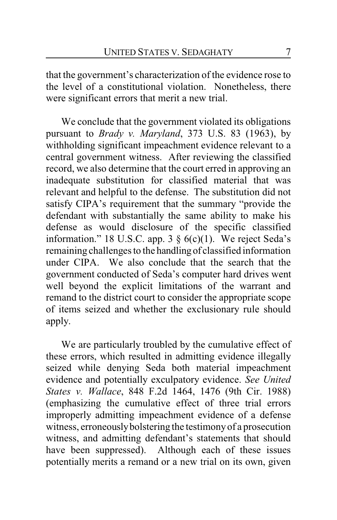that the government's characterization of the evidence rose to the level of a constitutional violation. Nonetheless, there were significant errors that merit a new trial.

We conclude that the government violated its obligations pursuant to *Brady v. Maryland*, 373 U.S. 83 (1963), by withholding significant impeachment evidence relevant to a central government witness. After reviewing the classified record, we also determine that the court erred in approving an inadequate substitution for classified material that was relevant and helpful to the defense. The substitution did not satisfy CIPA's requirement that the summary "provide the defendant with substantially the same ability to make his defense as would disclosure of the specific classified information." 18 U.S.C. app. 3  $\S$  6(c)(1). We reject Seda's remaining challenges to the handling of classified information under CIPA. We also conclude that the search that the government conducted of Seda's computer hard drives went well beyond the explicit limitations of the warrant and remand to the district court to consider the appropriate scope of items seized and whether the exclusionary rule should apply.

We are particularly troubled by the cumulative effect of these errors, which resulted in admitting evidence illegally seized while denying Seda both material impeachment evidence and potentially exculpatory evidence. *See United States v. Wallace*, 848 F.2d 1464, 1476 (9th Cir. 1988) (emphasizing the cumulative effect of three trial errors improperly admitting impeachment evidence of a defense witness, erroneouslybolstering the testimonyof a prosecution witness, and admitting defendant's statements that should have been suppressed). Although each of these issues potentially merits a remand or a new trial on its own, given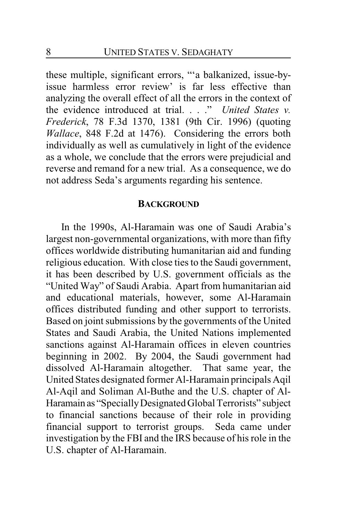these multiple, significant errors, "'a balkanized, issue-byissue harmless error review' is far less effective than analyzing the overall effect of all the errors in the context of the evidence introduced at trial. . . ." *United States v. Frederick*, 78 F.3d 1370, 1381 (9th Cir. 1996) (quoting *Wallace*, 848 F.2d at 1476). Considering the errors both individually as well as cumulatively in light of the evidence as a whole, we conclude that the errors were prejudicial and reverse and remand for a new trial. As a consequence, we do not address Seda's arguments regarding his sentence.

#### **BACKGROUND**

In the 1990s, Al-Haramain was one of Saudi Arabia's largest non-governmental organizations, with more than fifty offices worldwide distributing humanitarian aid and funding religious education. With close ties to the Saudi government, it has been described by U.S. government officials as the "United Way" of Saudi Arabia. Apart from humanitarian aid and educational materials, however, some Al-Haramain offices distributed funding and other support to terrorists. Based on joint submissions by the governments of the United States and Saudi Arabia, the United Nations implemented sanctions against Al-Haramain offices in eleven countries beginning in 2002. By 2004, the Saudi government had dissolved Al-Haramain altogether. That same year, the United States designated former Al-Haramain principals Aqil Al-Aqil and Soliman Al-Buthe and the U.S. chapter of Al-Haramain as "SpeciallyDesignated Global Terrorists" subject to financial sanctions because of their role in providing financial support to terrorist groups. Seda came under investigation by the FBI and the IRS because of his role in the U.S. chapter of Al-Haramain.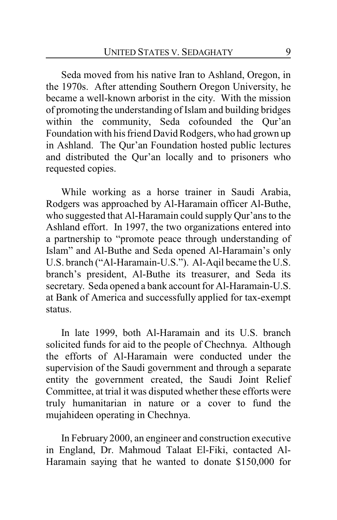Seda moved from his native Iran to Ashland, Oregon, in the 1970s. After attending Southern Oregon University, he became a well-known arborist in the city. With the mission of promoting the understanding of Islam and building bridges within the community, Seda cofounded the Qur'an Foundation with his friend David Rodgers, who had grown up in Ashland. The Qur'an Foundation hosted public lectures and distributed the Qur'an locally and to prisoners who requested copies.

While working as a horse trainer in Saudi Arabia, Rodgers was approached by Al-Haramain officer Al-Buthe, who suggested that Al-Haramain could supply Qur'ans to the Ashland effort. In 1997, the two organizations entered into a partnership to "promote peace through understanding of Islam" and Al-Buthe and Seda opened Al-Haramain's only U.S. branch ("Al-Haramain-U.S."). Al-Aqil became the U.S. branch's president, Al-Buthe its treasurer, and Seda its secretary. Seda opened a bank account for Al-Haramain-U.S. at Bank of America and successfully applied for tax-exempt status.

In late 1999, both Al-Haramain and its U.S. branch solicited funds for aid to the people of Chechnya. Although the efforts of Al-Haramain were conducted under the supervision of the Saudi government and through a separate entity the government created, the Saudi Joint Relief Committee, at trial it was disputed whether these efforts were truly humanitarian in nature or a cover to fund the mujahideen operating in Chechnya.

In February 2000, an engineer and construction executive in England, Dr. Mahmoud Talaat El-Fiki, contacted Al-Haramain saying that he wanted to donate \$150,000 for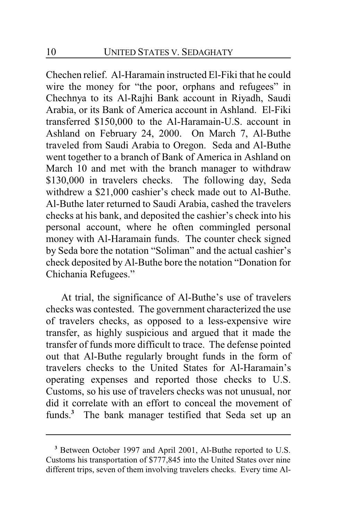Chechen relief. Al-Haramain instructed El-Fiki that he could wire the money for "the poor, orphans and refugees" in Chechnya to its Al-Rajhi Bank account in Riyadh, Saudi Arabia, or its Bank of America account in Ashland. El-Fiki transferred \$150,000 to the Al-Haramain-U.S. account in Ashland on February 24, 2000. On March 7, Al-Buthe traveled from Saudi Arabia to Oregon. Seda and Al-Buthe went together to a branch of Bank of America in Ashland on March 10 and met with the branch manager to withdraw \$130,000 in travelers checks. The following day, Seda withdrew a \$21,000 cashier's check made out to Al-Buthe. Al-Buthe later returned to Saudi Arabia, cashed the travelers checks at his bank, and deposited the cashier's check into his personal account, where he often commingled personal money with Al-Haramain funds. The counter check signed by Seda bore the notation "Soliman" and the actual cashier's check deposited by Al-Buthe bore the notation "Donation for Chichania Refugees."

At trial, the significance of Al-Buthe's use of travelers checks was contested. The government characterized the use of travelers checks, as opposed to a less-expensive wire transfer, as highly suspicious and argued that it made the transfer of funds more difficult to trace. The defense pointed out that Al-Buthe regularly brought funds in the form of travelers checks to the United States for Al-Haramain's operating expenses and reported those checks to U.S. Customs, so his use of travelers checks was not unusual, nor did it correlate with an effort to conceal the movement of funds.**<sup>3</sup>** The bank manager testified that Seda set up an

**<sup>3</sup>** Between October 1997 and April 2001, Al-Buthe reported to U.S. Customs his transportation of \$777,845 into the United States over nine different trips, seven of them involving travelers checks. Every time Al-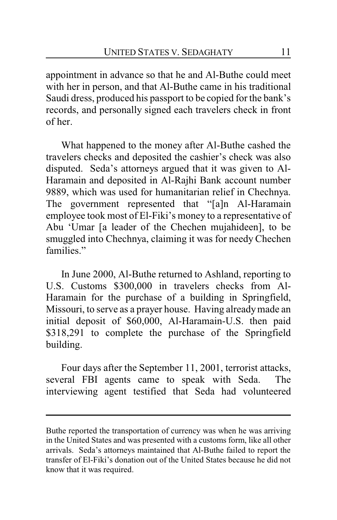appointment in advance so that he and Al-Buthe could meet with her in person, and that Al-Buthe came in his traditional Saudi dress, produced his passport to be copied for the bank's records, and personally signed each travelers check in front of her.

What happened to the money after Al-Buthe cashed the travelers checks and deposited the cashier's check was also disputed. Seda's attorneys argued that it was given to Al-Haramain and deposited in Al-Rajhi Bank account number 9889, which was used for humanitarian relief in Chechnya. The government represented that "[a]n Al-Haramain employee took most of El-Fiki's money to a representative of Abu 'Umar [a leader of the Chechen mujahideen], to be smuggled into Chechnya, claiming it was for needy Chechen families"

In June 2000, Al-Buthe returned to Ashland, reporting to U.S. Customs \$300,000 in travelers checks from Al-Haramain for the purchase of a building in Springfield, Missouri, to serve as a prayer house. Having alreadymade an initial deposit of \$60,000, Al-Haramain-U.S. then paid \$318,291 to complete the purchase of the Springfield building.

Four days after the September 11, 2001, terrorist attacks, several FBI agents came to speak with Seda. The interviewing agent testified that Seda had volunteered

Buthe reported the transportation of currency was when he was arriving in the United States and was presented with a customs form, like all other arrivals. Seda's attorneys maintained that Al-Buthe failed to report the transfer of El-Fiki's donation out of the United States because he did not know that it was required.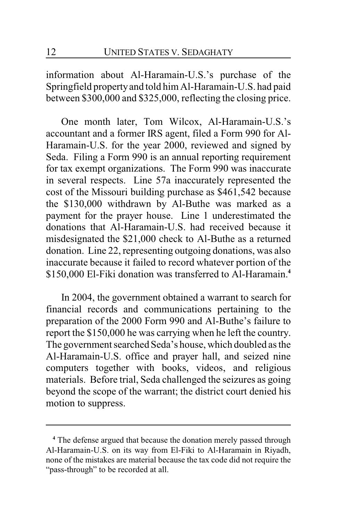information about Al-Haramain-U.S.'s purchase of the Springfield propertyand told him Al-Haramain-U.S. had paid between \$300,000 and \$325,000, reflecting the closing price.

One month later, Tom Wilcox, Al-Haramain-U.S.'s accountant and a former IRS agent, filed a Form 990 for Al-Haramain-U.S. for the year 2000, reviewed and signed by Seda. Filing a Form 990 is an annual reporting requirement for tax exempt organizations. The Form 990 was inaccurate in several respects. Line 57a inaccurately represented the cost of the Missouri building purchase as \$461,542 because the \$130,000 withdrawn by Al-Buthe was marked as a payment for the prayer house. Line 1 underestimated the donations that Al-Haramain-U.S. had received because it misdesignated the \$21,000 check to Al-Buthe as a returned donation. Line 22, representing outgoing donations, was also inaccurate because it failed to record whatever portion of the \$150,000 El-Fiki donation was transferred to Al-Haramain.**<sup>4</sup>**

In 2004, the government obtained a warrant to search for financial records and communications pertaining to the preparation of the 2000 Form 990 and Al-Buthe's failure to report the \$150,000 he was carrying when he left the country. The government searched Seda's house, which doubled as the Al-Haramain-U.S. office and prayer hall, and seized nine computers together with books, videos, and religious materials. Before trial, Seda challenged the seizures as going beyond the scope of the warrant; the district court denied his motion to suppress.

**<sup>4</sup>** The defense argued that because the donation merely passed through Al-Haramain-U.S. on its way from El-Fiki to Al-Haramain in Riyadh, none of the mistakes are material because the tax code did not require the "pass-through" to be recorded at all.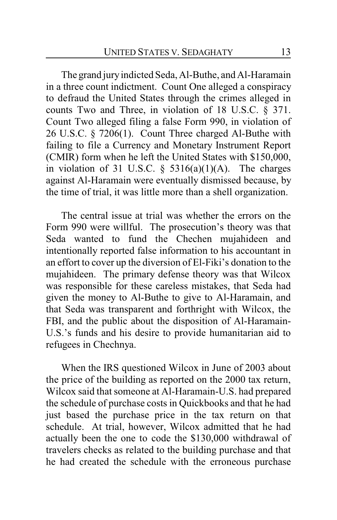The grand jury indicted Seda, Al-Buthe, and Al-Haramain in a three count indictment. Count One alleged a conspiracy to defraud the United States through the crimes alleged in counts Two and Three, in violation of 18 U.S.C. § 371. Count Two alleged filing a false Form 990, in violation of 26 U.S.C. § 7206(1). Count Three charged Al-Buthe with failing to file a Currency and Monetary Instrument Report (CMIR) form when he left the United States with \$150,000, in violation of 31 U.S.C.  $\S$  5316(a)(1)(A). The charges against Al-Haramain were eventually dismissed because, by the time of trial, it was little more than a shell organization.

The central issue at trial was whether the errors on the Form 990 were willful. The prosecution's theory was that Seda wanted to fund the Chechen mujahideen and intentionally reported false information to his accountant in an effort to cover up the diversion of El-Fiki's donation to the mujahideen. The primary defense theory was that Wilcox was responsible for these careless mistakes, that Seda had given the money to Al-Buthe to give to Al-Haramain, and that Seda was transparent and forthright with Wilcox, the FBI, and the public about the disposition of Al-Haramain-U.S.'s funds and his desire to provide humanitarian aid to refugees in Chechnya.

When the IRS questioned Wilcox in June of 2003 about the price of the building as reported on the 2000 tax return, Wilcox said that someone at Al-Haramain-U.S. had prepared the schedule of purchase costs in Quickbooks and that he had just based the purchase price in the tax return on that schedule. At trial, however, Wilcox admitted that he had actually been the one to code the \$130,000 withdrawal of travelers checks as related to the building purchase and that he had created the schedule with the erroneous purchase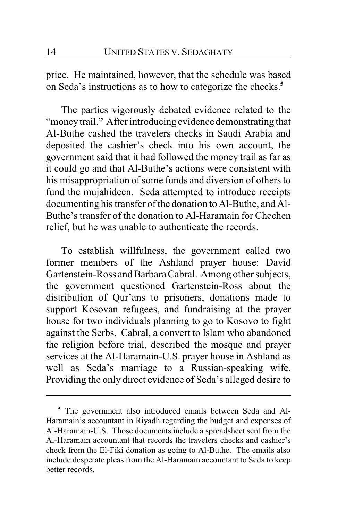price. He maintained, however, that the schedule was based on Seda's instructions as to how to categorize the checks.**<sup>5</sup>**

The parties vigorously debated evidence related to the "money trail." After introducing evidence demonstrating that Al-Buthe cashed the travelers checks in Saudi Arabia and deposited the cashier's check into his own account, the government said that it had followed the money trail as far as it could go and that Al-Buthe's actions were consistent with his misappropriation of some funds and diversion of others to fund the mujahideen. Seda attempted to introduce receipts documenting his transfer of the donation to Al-Buthe, and Al-Buthe's transfer of the donation to Al-Haramain for Chechen relief, but he was unable to authenticate the records.

To establish willfulness, the government called two former members of the Ashland prayer house: David Gartenstein-Ross and Barbara Cabral. Among other subjects, the government questioned Gartenstein-Ross about the distribution of Qur'ans to prisoners, donations made to support Kosovan refugees, and fundraising at the prayer house for two individuals planning to go to Kosovo to fight against the Serbs. Cabral, a convert to Islam who abandoned the religion before trial, described the mosque and prayer services at the Al-Haramain-U.S. prayer house in Ashland as well as Seda's marriage to a Russian-speaking wife. Providing the only direct evidence of Seda's alleged desire to

**<sup>5</sup>** The government also introduced emails between Seda and Al-Haramain's accountant in Riyadh regarding the budget and expenses of Al-Haramain-U.S. Those documents include a spreadsheet sent from the Al-Haramain accountant that records the travelers checks and cashier's check from the El-Fiki donation as going to Al-Buthe. The emails also include desperate pleas from the Al-Haramain accountant to Seda to keep better records.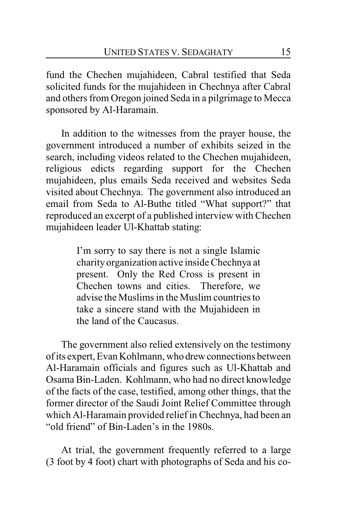fund the Chechen mujahideen, Cabral testified that Seda solicited funds for the mujahideen in Chechnya after Cabral and others from Oregon joined Seda in a pilgrimage to Mecca sponsored by Al-Haramain.

In addition to the witnesses from the prayer house, the government introduced a number of exhibits seized in the search, including videos related to the Chechen mujahideen, religious edicts regarding support for the Chechen mujahideen, plus emails Seda received and websites Seda visited about Chechnya. The government also introduced an email from Seda to Al-Buthe titled "What support?" that reproduced an excerpt of a published interview with Chechen mujahideen leader Ul-Khattab stating:

> I'm sorry to say there is not a single Islamic charity organization active inside Chechnya at present. Only the Red Cross is present in Chechen towns and cities. Therefore, we advise the Muslims in the Muslim countries to take a sincere stand with the Mujahideen in the land of the Caucasus.

The government also relied extensively on the testimony of its expert, Evan Kohlmann, who drewconnections between Al-Haramain officials and figures such as Ul-Khattab and Osama Bin-Laden. Kohlmann, who had no direct knowledge of the facts of the case, testified, among other things, that the former director of the Saudi Joint Relief Committee through which Al-Haramain provided relief in Chechnya, had been an "old friend" of Bin-Laden's in the 1980s.

At trial, the government frequently referred to a large (3 foot by 4 foot) chart with photographs of Seda and his co-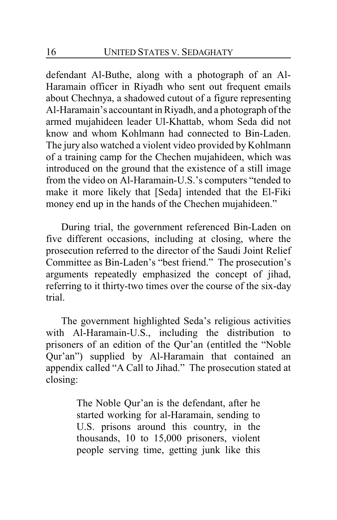defendant Al-Buthe, along with a photograph of an Al-Haramain officer in Riyadh who sent out frequent emails about Chechnya, a shadowed cutout of a figure representing Al-Haramain's accountant in Riyadh, and a photograph of the armed mujahideen leader Ul-Khattab, whom Seda did not know and whom Kohlmann had connected to Bin-Laden. The jury also watched a violent video provided by Kohlmann of a training camp for the Chechen mujahideen, which was introduced on the ground that the existence of a still image from the video on Al-Haramain-U.S.'s computers "tended to make it more likely that [Seda] intended that the El-Fiki money end up in the hands of the Chechen mujahideen."

During trial, the government referenced Bin-Laden on five different occasions, including at closing, where the prosecution referred to the director of the Saudi Joint Relief Committee as Bin-Laden's "best friend." The prosecution's arguments repeatedly emphasized the concept of jihad, referring to it thirty-two times over the course of the six-day trial.

The government highlighted Seda's religious activities with Al-Haramain-U.S., including the distribution to prisoners of an edition of the Qur'an (entitled the "Noble Qur'an") supplied by Al-Haramain that contained an appendix called "A Call to Jihad." The prosecution stated at closing:

> The Noble Qur'an is the defendant, after he started working for al-Haramain, sending to U.S. prisons around this country, in the thousands, 10 to 15,000 prisoners, violent people serving time, getting junk like this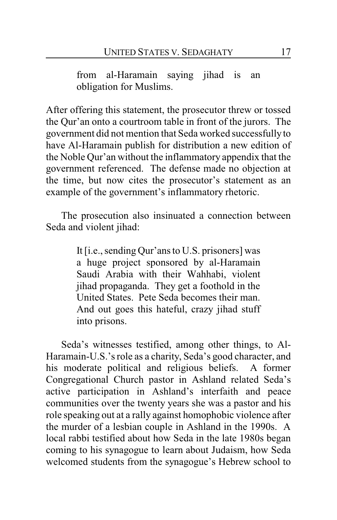from al-Haramain saying jihad is an obligation for Muslims.

After offering this statement, the prosecutor threw or tossed the Qur'an onto a courtroom table in front of the jurors. The government did not mention that Seda worked successfullyto have Al-Haramain publish for distribution a new edition of the Noble Qur'an without the inflammatory appendix that the government referenced. The defense made no objection at the time, but now cites the prosecutor's statement as an example of the government's inflammatory rhetoric.

The prosecution also insinuated a connection between Seda and violent jihad:

> It [i.e., sending Qur'ans to U.S. prisoners] was a huge project sponsored by al-Haramain Saudi Arabia with their Wahhabi, violent jihad propaganda. They get a foothold in the United States. Pete Seda becomes their man. And out goes this hateful, crazy jihad stuff into prisons.

Seda's witnesses testified, among other things, to Al-Haramain-U.S.'s role as a charity, Seda's good character, and his moderate political and religious beliefs. A former Congregational Church pastor in Ashland related Seda's active participation in Ashland's interfaith and peace communities over the twenty years she was a pastor and his role speaking out at a rally against homophobic violence after the murder of a lesbian couple in Ashland in the 1990s. A local rabbi testified about how Seda in the late 1980s began coming to his synagogue to learn about Judaism, how Seda welcomed students from the synagogue's Hebrew school to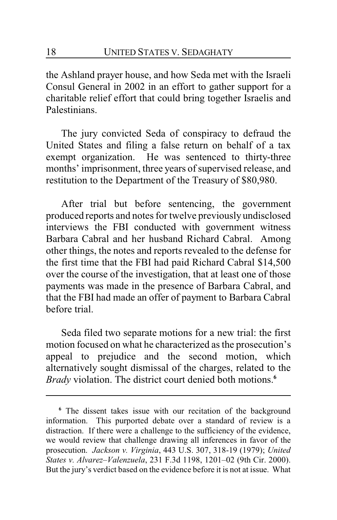the Ashland prayer house, and how Seda met with the Israeli Consul General in 2002 in an effort to gather support for a charitable relief effort that could bring together Israelis and Palestinians.

The jury convicted Seda of conspiracy to defraud the United States and filing a false return on behalf of a tax exempt organization. He was sentenced to thirty-three months' imprisonment, three years of supervised release, and restitution to the Department of the Treasury of \$80,980.

After trial but before sentencing, the government produced reports and notes for twelve previously undisclosed interviews the FBI conducted with government witness Barbara Cabral and her husband Richard Cabral. Among other things, the notes and reports revealed to the defense for the first time that the FBI had paid Richard Cabral \$14,500 over the course of the investigation, that at least one of those payments was made in the presence of Barbara Cabral, and that the FBI had made an offer of payment to Barbara Cabral before trial.

Seda filed two separate motions for a new trial: the first motion focused on what he characterized as the prosecution's appeal to prejudice and the second motion, which alternatively sought dismissal of the charges, related to the *Brady* violation. The district court denied both motions.**<sup>6</sup>**

**<sup>6</sup>** The dissent takes issue with our recitation of the background information. This purported debate over a standard of review is a distraction. If there were a challenge to the sufficiency of the evidence, we would review that challenge drawing all inferences in favor of the prosecution. *Jackson v. Virginia*, 443 U.S. 307, 318-19 (1979); *United States v. Alvarez–Valenzuela*, 231 F.3d 1198, 1201–02 (9th Cir. 2000). But the jury's verdict based on the evidence before it is not at issue. What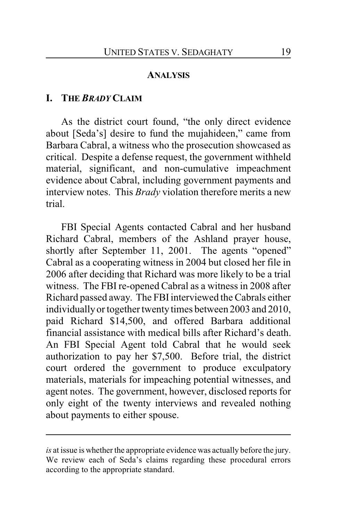#### **ANALYSIS**

#### **I. THE** *BRADY* **CLAIM**

As the district court found, "the only direct evidence about [Seda's] desire to fund the mujahideen," came from Barbara Cabral, a witness who the prosecution showcased as critical. Despite a defense request, the government withheld material, significant, and non-cumulative impeachment evidence about Cabral, including government payments and interview notes. This *Brady* violation therefore merits a new trial.

FBI Special Agents contacted Cabral and her husband Richard Cabral, members of the Ashland prayer house, shortly after September 11, 2001. The agents "opened" Cabral as a cooperating witness in 2004 but closed her file in 2006 after deciding that Richard was more likely to be a trial witness. The FBI re-opened Cabral as a witness in 2008 after Richard passed away. The FBI interviewed the Cabrals either individually or together twenty times between 2003 and 2010, paid Richard \$14,500, and offered Barbara additional financial assistance with medical bills after Richard's death. An FBI Special Agent told Cabral that he would seek authorization to pay her \$7,500. Before trial, the district court ordered the government to produce exculpatory materials, materials for impeaching potential witnesses, and agent notes. The government, however, disclosed reports for only eight of the twenty interviews and revealed nothing about payments to either spouse.

*is* at issue is whether the appropriate evidence was actually before the jury. We review each of Seda's claims regarding these procedural errors according to the appropriate standard.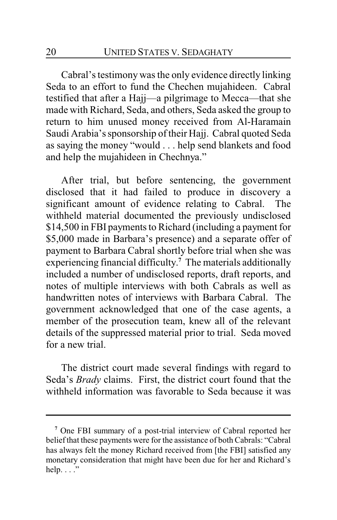Cabral's testimony was the only evidence directly linking Seda to an effort to fund the Chechen mujahideen. Cabral testified that after a Hajj—a pilgrimage to Mecca—that she made with Richard, Seda, and others, Seda asked the group to return to him unused money received from Al-Haramain Saudi Arabia's sponsorship of their Hajj. Cabral quoted Seda as saying the money "would . . . help send blankets and food and help the mujahideen in Chechnya."

After trial, but before sentencing, the government disclosed that it had failed to produce in discovery a significant amount of evidence relating to Cabral. The withheld material documented the previously undisclosed \$14,500 in FBI payments to Richard (including a payment for \$5,000 made in Barbara's presence) and a separate offer of payment to Barbara Cabral shortly before trial when she was experiencing financial difficulty. **<sup>7</sup>** The materials additionally included a number of undisclosed reports, draft reports, and notes of multiple interviews with both Cabrals as well as handwritten notes of interviews with Barbara Cabral. The government acknowledged that one of the case agents, a member of the prosecution team, knew all of the relevant details of the suppressed material prior to trial. Seda moved for a new trial.

The district court made several findings with regard to Seda's *Brady* claims. First, the district court found that the withheld information was favorable to Seda because it was

**<sup>7</sup>** One FBI summary of a post-trial interview of Cabral reported her belief that these payments were for the assistance of both Cabrals: "Cabral has always felt the money Richard received from [the FBI] satisfied any monetary consideration that might have been due for her and Richard's help.  $\ldots$ ."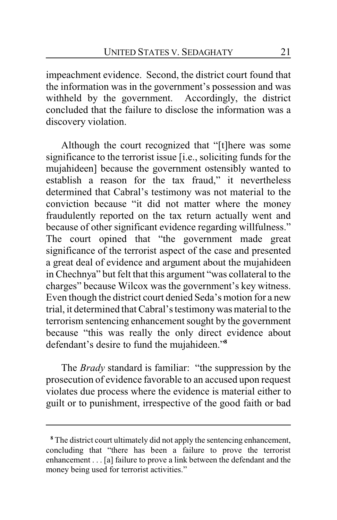impeachment evidence. Second, the district court found that the information was in the government's possession and was withheld by the government. Accordingly, the district concluded that the failure to disclose the information was a discovery violation.

Although the court recognized that "[t]here was some significance to the terrorist issue [i.e., soliciting funds for the mujahideen] because the government ostensibly wanted to establish a reason for the tax fraud," it nevertheless determined that Cabral's testimony was not material to the conviction because "it did not matter where the money fraudulently reported on the tax return actually went and because of other significant evidence regarding willfulness." The court opined that "the government made great significance of the terrorist aspect of the case and presented a great deal of evidence and argument about the mujahideen in Chechnya" but felt that this argument "was collateral to the charges" because Wilcox was the government's key witness. Even though the district court denied Seda's motion for a new trial, it determined that Cabral's testimony was material to the terrorism sentencing enhancement sought by the government because "this was really the only direct evidence about defendant's desire to fund the mujahideen."**<sup>8</sup>**

The *Brady* standard is familiar: "the suppression by the prosecution of evidence favorable to an accused upon request violates due process where the evidence is material either to guilt or to punishment, irrespective of the good faith or bad

**<sup>8</sup>** The district court ultimately did not apply the sentencing enhancement, concluding that "there has been a failure to prove the terrorist enhancement . . . [a] failure to prove a link between the defendant and the money being used for terrorist activities."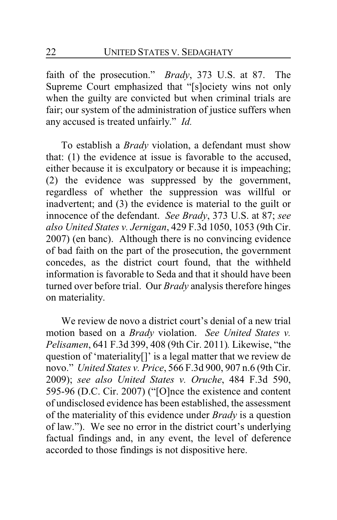faith of the prosecution." *Brady*, 373 U.S. at 87. The Supreme Court emphasized that "[s]ociety wins not only when the guilty are convicted but when criminal trials are fair; our system of the administration of justice suffers when any accused is treated unfairly." *Id.*

To establish a *Brady* violation, a defendant must show that: (1) the evidence at issue is favorable to the accused, either because it is exculpatory or because it is impeaching; (2) the evidence was suppressed by the government, regardless of whether the suppression was willful or inadvertent; and (3) the evidence is material to the guilt or innocence of the defendant. *See Brady*, 373 U.S. at 87; *see also United States v. Jernigan*, 429 F.3d 1050, 1053 (9th Cir. 2007) (en banc). Although there is no convincing evidence of bad faith on the part of the prosecution, the government concedes, as the district court found, that the withheld information is favorable to Seda and that it should have been turned over before trial. Our *Brady* analysis therefore hinges on materiality.

We review de novo a district court's denial of a new trial motion based on a *Brady* violation. *See United States v. Pelisamen*, 641 F.3d 399, 408 (9th Cir. 2011)*.* Likewise, "the question of 'materiality[]' is a legal matter that we review de novo." *United States v. Price*, 566 F.3d 900, 907 n.6 (9th Cir. 2009); *see also United States v. Oruche*, 484 F.3d 590, 595-96 (D.C. Cir. 2007) ("[O]nce the existence and content of undisclosed evidence has been established, the assessment of the materiality of this evidence under *Brady* is a question of law."). We see no error in the district court's underlying factual findings and, in any event, the level of deference accorded to those findings is not dispositive here.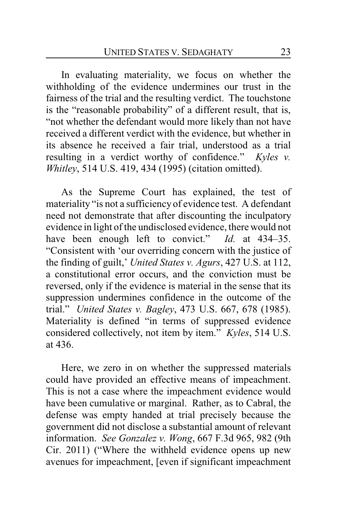In evaluating materiality, we focus on whether the withholding of the evidence undermines our trust in the fairness of the trial and the resulting verdict. The touchstone is the "reasonable probability" of a different result, that is, "not whether the defendant would more likely than not have received a different verdict with the evidence, but whether in its absence he received a fair trial, understood as a trial resulting in a verdict worthy of confidence." *Kyles v. Whitley*, 514 U.S. 419, 434 (1995) (citation omitted).

As the Supreme Court has explained, the test of materiality "is not a sufficiency of evidence test. A defendant need not demonstrate that after discounting the inculpatory evidence in light of the undisclosed evidence, there would not have been enough left to convict." *Id.* at 434–35. "Consistent with 'our overriding concern with the justice of the finding of guilt,' *United States v. Agurs*, 427 U.S. at 112, a constitutional error occurs, and the conviction must be reversed, only if the evidence is material in the sense that its suppression undermines confidence in the outcome of the trial." *United States v. Bagley*, 473 U.S. 667, 678 (1985). Materiality is defined "in terms of suppressed evidence considered collectively, not item by item." *Kyles*, 514 U.S. at 436.

Here, we zero in on whether the suppressed materials could have provided an effective means of impeachment. This is not a case where the impeachment evidence would have been cumulative or marginal. Rather, as to Cabral, the defense was empty handed at trial precisely because the government did not disclose a substantial amount of relevant information. *See Gonzalez v. Wong*, 667 F.3d 965, 982 (9th Cir. 2011) ("Where the withheld evidence opens up new avenues for impeachment, [even if significant impeachment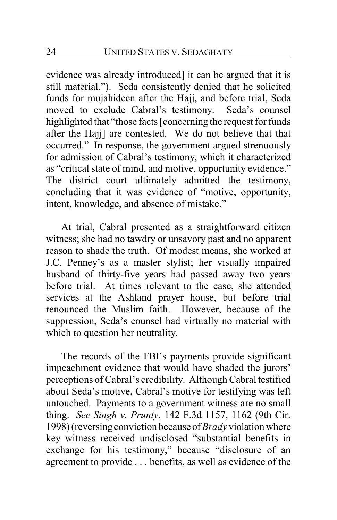evidence was already introduced] it can be argued that it is still material."). Seda consistently denied that he solicited funds for mujahideen after the Hajj, and before trial, Seda moved to exclude Cabral's testimony. Seda's counsel highlighted that "those facts [concerning the request for funds after the Hajj] are contested. We do not believe that that occurred." In response, the government argued strenuously for admission of Cabral's testimony, which it characterized as "critical state of mind, and motive, opportunity evidence." The district court ultimately admitted the testimony, concluding that it was evidence of "motive, opportunity, intent, knowledge, and absence of mistake."

At trial, Cabral presented as a straightforward citizen witness; she had no tawdry or unsavory past and no apparent reason to shade the truth. Of modest means, she worked at J.C. Penney's as a master stylist; her visually impaired husband of thirty-five years had passed away two years before trial. At times relevant to the case, she attended services at the Ashland prayer house, but before trial renounced the Muslim faith. However, because of the suppression, Seda's counsel had virtually no material with which to question her neutrality.

The records of the FBI's payments provide significant impeachment evidence that would have shaded the jurors' perceptions of Cabral's credibility. Although Cabral testified about Seda's motive, Cabral's motive for testifying was left untouched. Payments to a government witness are no small thing. *See Singh v. Prunty*, 142 F.3d 1157, 1162 (9th Cir. 1998) (reversing conviction because of *Brady* violation where key witness received undisclosed "substantial benefits in exchange for his testimony," because "disclosure of an agreement to provide . . . benefits, as well as evidence of the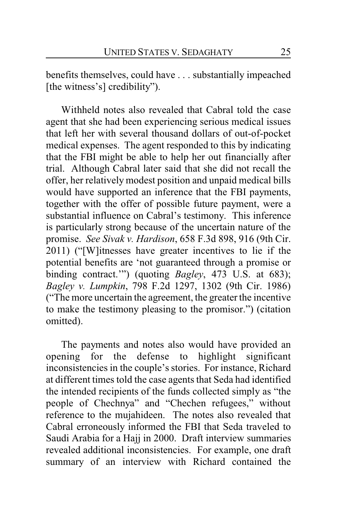benefits themselves, could have . . . substantially impeached [the witness's] credibility").

Withheld notes also revealed that Cabral told the case agent that she had been experiencing serious medical issues that left her with several thousand dollars of out-of-pocket medical expenses. The agent responded to this by indicating that the FBI might be able to help her out financially after trial. Although Cabral later said that she did not recall the offer, her relatively modest position and unpaid medical bills would have supported an inference that the FBI payments, together with the offer of possible future payment, were a substantial influence on Cabral's testimony. This inference is particularly strong because of the uncertain nature of the promise. *See Sivak v. Hardison*, 658 F.3d 898, 916 (9th Cir. 2011) ("[W]itnesses have greater incentives to lie if the potential benefits are 'not guaranteed through a promise or binding contract.'") (quoting *Bagley*, 473 U.S. at 683); *Bagley v. Lumpkin*, 798 F.2d 1297, 1302 (9th Cir. 1986) ("The more uncertain the agreement, the greater the incentive to make the testimony pleasing to the promisor.") (citation omitted).

The payments and notes also would have provided an opening for the defense to highlight significant inconsistencies in the couple's stories. For instance, Richard at different times told the case agents that Seda had identified the intended recipients of the funds collected simply as "the people of Chechnya" and "Chechen refugees," without reference to the mujahideen. The notes also revealed that Cabral erroneously informed the FBI that Seda traveled to Saudi Arabia for a Hajj in 2000. Draft interview summaries revealed additional inconsistencies. For example, one draft summary of an interview with Richard contained the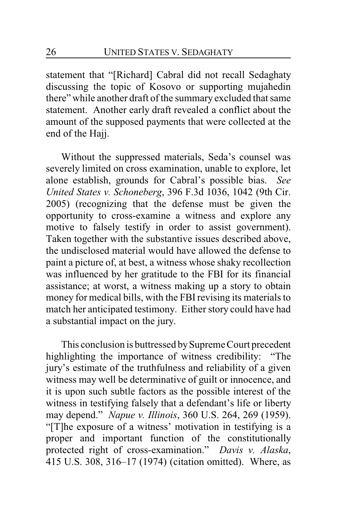statement that "[Richard] Cabral did not recall Sedaghaty discussing the topic of Kosovo or supporting mujahedin there" while another draft of the summary excluded that same statement. Another early draft revealed a conflict about the amount of the supposed payments that were collected at the end of the Hajj.

Without the suppressed materials, Seda's counsel was severely limited on cross examination, unable to explore, let alone establish, grounds for Cabral's possible bias. *See United States v. Schoneberg*, 396 F.3d 1036, 1042 (9th Cir. 2005) (recognizing that the defense must be given the opportunity to cross-examine a witness and explore any motive to falsely testify in order to assist government). Taken together with the substantive issues described above, the undisclosed material would have allowed the defense to paint a picture of, at best, a witness whose shaky recollection was influenced by her gratitude to the FBI for its financial assistance; at worst, a witness making up a story to obtain money for medical bills, with the FBI revising its materials to match her anticipated testimony. Either story could have had a substantial impact on the jury.

This conclusion is buttressed by Supreme Court precedent highlighting the importance of witness credibility: "The jury's estimate of the truthfulness and reliability of a given witness may well be determinative of guilt or innocence, and it is upon such subtle factors as the possible interest of the witness in testifying falsely that a defendant's life or liberty may depend." *Napue v. Illinois*, 360 U.S. 264, 269 (1959). "[T]he exposure of a witness' motivation in testifying is a proper and important function of the constitutionally protected right of cross-examination." *Davis v. Alaska*, 415 U.S. 308, 316–17 (1974) (citation omitted). Where, as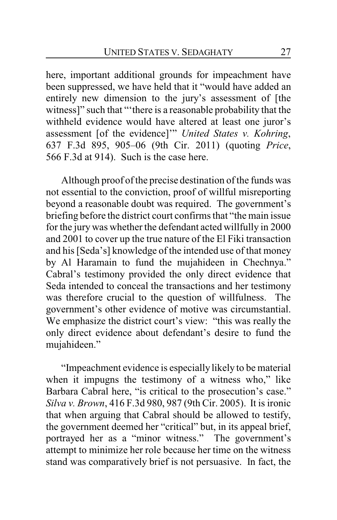here, important additional grounds for impeachment have been suppressed, we have held that it "would have added an entirely new dimension to the jury's assessment of [the witness]" such that "'there is a reasonable probability that the withheld evidence would have altered at least one juror's assessment [of the evidence]'" *United States v. Kohring*, 637 F.3d 895, 905–06 (9th Cir. 2011) (quoting *Price*, 566 F.3d at 914). Such is the case here.

Although proof of the precise destination of the funds was not essential to the conviction, proof of willful misreporting beyond a reasonable doubt was required. The government's briefing before the district court confirms that "the main issue for the jury was whether the defendant acted willfully in 2000 and 2001 to cover up the true nature of the El Fiki transaction and his [Seda's] knowledge of the intended use of that money by Al Haramain to fund the mujahideen in Chechnya." Cabral's testimony provided the only direct evidence that Seda intended to conceal the transactions and her testimony was therefore crucial to the question of willfulness. The government's other evidence of motive was circumstantial. We emphasize the district court's view: "this was really the only direct evidence about defendant's desire to fund the mujahideen."

"Impeachment evidence is especially likely to be material when it impugns the testimony of a witness who," like Barbara Cabral here, "is critical to the prosecution's case." *Silva v. Brown*, 416 F.3d 980, 987 (9th Cir. 2005). It is ironic that when arguing that Cabral should be allowed to testify, the government deemed her "critical" but, in its appeal brief, portrayed her as a "minor witness." The government's attempt to minimize her role because her time on the witness stand was comparatively brief is not persuasive. In fact, the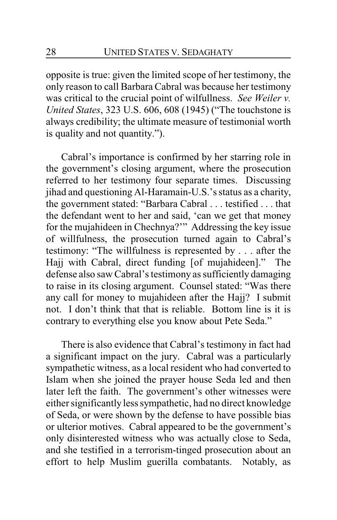opposite is true: given the limited scope of her testimony, the only reason to call Barbara Cabral was because her testimony was critical to the crucial point of wilfullness. *See Weiler v. United States*, 323 U.S. 606, 608 (1945) ("The touchstone is always credibility; the ultimate measure of testimonial worth is quality and not quantity.").

Cabral's importance is confirmed by her starring role in the government's closing argument, where the prosecution referred to her testimony four separate times. Discussing jihad and questioning Al-Haramain-U.S.'s status as a charity, the government stated: "Barbara Cabral . . . testified . . . that the defendant went to her and said, 'can we get that money for the mujahideen in Chechnya?'" Addressing the key issue of willfulness, the prosecution turned again to Cabral's testimony: "The willfulness is represented by . . . after the Hajj with Cabral, direct funding [of mujahideen]." The defense also saw Cabral's testimony as sufficiently damaging to raise in its closing argument. Counsel stated: "Was there any call for money to mujahideen after the Hajj? I submit not. I don't think that that is reliable. Bottom line is it is contrary to everything else you know about Pete Seda."

There is also evidence that Cabral's testimony in fact had a significant impact on the jury. Cabral was a particularly sympathetic witness, as a local resident who had converted to Islam when she joined the prayer house Seda led and then later left the faith. The government's other witnesses were either significantly less sympathetic, had no direct knowledge of Seda, or were shown by the defense to have possible bias or ulterior motives. Cabral appeared to be the government's only disinterested witness who was actually close to Seda, and she testified in a terrorism-tinged prosecution about an effort to help Muslim guerilla combatants. Notably, as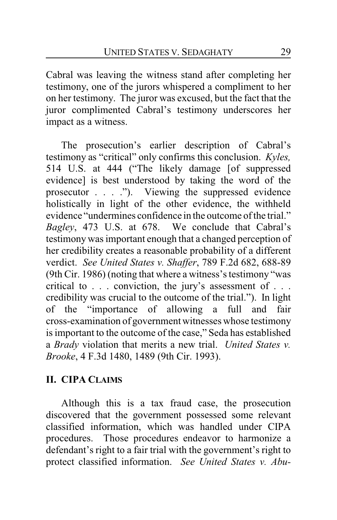Cabral was leaving the witness stand after completing her testimony, one of the jurors whispered a compliment to her on her testimony. The juror was excused, but the fact that the juror complimented Cabral's testimony underscores her impact as a witness.

The prosecution's earlier description of Cabral's testimony as "critical" only confirms this conclusion. *Kyles,* 514 U.S. at 444 ("The likely damage [of suppressed evidence] is best understood by taking the word of the prosecutor . . . ."). Viewing the suppressed evidence holistically in light of the other evidence, the withheld evidence "undermines confidence in the outcome of the trial." *Bagley*, 473 U.S. at 678. We conclude that Cabral's testimony was important enough that a changed perception of her credibility creates a reasonable probability of a different verdict. *See United States v. Shaffer*, 789 F.2d 682, 688-89 (9th Cir. 1986) (noting that where a witness's testimony "was critical to . . . conviction, the jury's assessment of . . . credibility was crucial to the outcome of the trial."). In light of the "importance of allowing a full and fair cross-examination of government witnesses whose testimony is important to the outcome of the case," Seda has established a *Brady* violation that merits a new trial. *United States v. Brooke*, 4 F.3d 1480, 1489 (9th Cir. 1993).

# **II. CIPA CLAIMS**

Although this is a tax fraud case, the prosecution discovered that the government possessed some relevant classified information, which was handled under CIPA procedures. Those procedures endeavor to harmonize a defendant's right to a fair trial with the government's right to protect classified information. *See United States v. Abu-*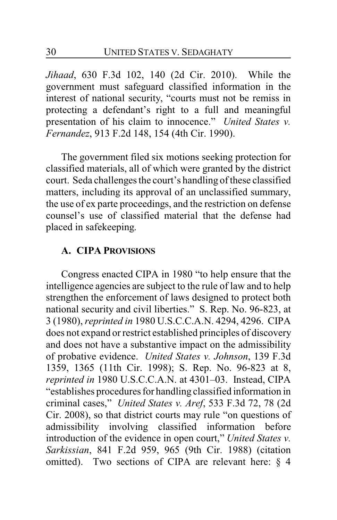*Jihaad*, 630 F.3d 102, 140 (2d Cir. 2010). While the government must safeguard classified information in the interest of national security, "courts must not be remiss in protecting a defendant's right to a full and meaningful presentation of his claim to innocence." *United States v. Fernandez*, 913 F.2d 148, 154 (4th Cir. 1990).

The government filed six motions seeking protection for classified materials, all of which were granted by the district court. Seda challenges the court's handling of these classified matters, including its approval of an unclassified summary, the use of ex parte proceedings, and the restriction on defense counsel's use of classified material that the defense had placed in safekeeping.

#### **A. CIPA PROVISIONS**

Congress enacted CIPA in 1980 "to help ensure that the intelligence agencies are subject to the rule of law and to help strengthen the enforcement of laws designed to protect both national security and civil liberties." S. Rep. No. 96-823, at 3 (1980), *reprinted in* 1980 U.S.C.C.A.N. 4294, 4296. CIPA does not expand or restrict established principles of discovery and does not have a substantive impact on the admissibility of probative evidence. *United States v. Johnson*, 139 F.3d 1359, 1365 (11th Cir. 1998); S. Rep. No. 96-823 at 8, *reprinted in* 1980 U.S.C.C.A.N. at 4301–03. Instead, CIPA "establishes procedures for handling classified information in criminal cases," *United States v. Aref*, 533 F.3d 72, 78 (2d Cir. 2008), so that district courts may rule "on questions of admissibility involving classified information before introduction of the evidence in open court," *United States v. Sarkissian*, 841 F.2d 959, 965 (9th Cir. 1988) (citation omitted). Two sections of CIPA are relevant here: § 4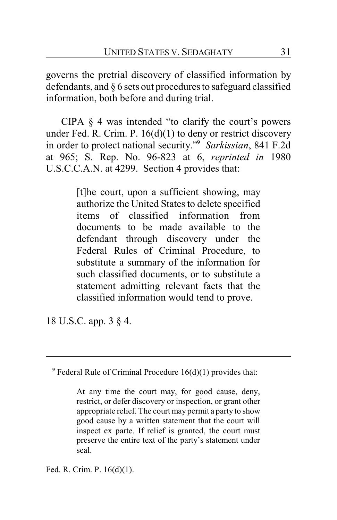governs the pretrial discovery of classified information by defendants, and § 6 sets out procedures to safeguard classified information, both before and during trial.

CIPA  $\S$  4 was intended "to clarify the court's powers" under Fed. R. Crim. P.  $16(d)(1)$  to deny or restrict discovery in order to protect national security."**<sup>9</sup>** *Sarkissian*, 841 F.2d at 965; S. Rep. No. 96-823 at 6, *reprinted in* 1980 U.S.C.C.A.N. at 4299. Section 4 provides that:

> [t]he court, upon a sufficient showing, may authorize the United States to delete specified items of classified information from documents to be made available to the defendant through discovery under the Federal Rules of Criminal Procedure, to substitute a summary of the information for such classified documents, or to substitute a statement admitting relevant facts that the classified information would tend to prove.

18 U.S.C. app. 3 § 4.

<sup>9</sup> Federal Rule of Criminal Procedure 16(d)(1) provides that:

At any time the court may, for good cause, deny, restrict, or defer discovery or inspection, or grant other appropriate relief. The court may permit a party to show good cause by a written statement that the court will inspect ex parte. If relief is granted, the court must preserve the entire text of the party's statement under seal.

Fed. R. Crim. P. 16(d)(1).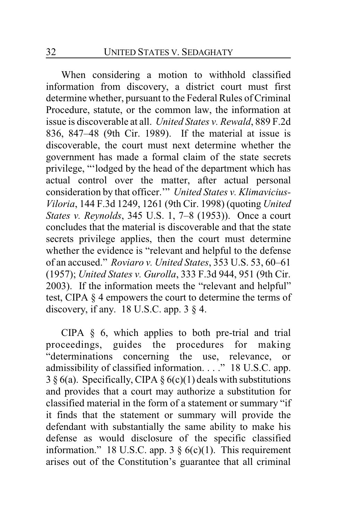When considering a motion to withhold classified information from discovery, a district court must first determine whether, pursuant to the Federal Rules of Criminal Procedure, statute, or the common law, the information at issue is discoverable at all. *United States v. Rewald*, 889 F.2d 836, 847–48 (9th Cir. 1989). If the material at issue is discoverable, the court must next determine whether the government has made a formal claim of the state secrets privilege, "'lodged by the head of the department which has actual control over the matter, after actual personal consideration by that officer.'" *United States v. Klimavicius-Viloria*, 144 F.3d 1249, 1261 (9th Cir. 1998) (quoting *United States v. Reynolds*, 345 U.S. 1, 7–8 (1953)). Once a court concludes that the material is discoverable and that the state secrets privilege applies, then the court must determine whether the evidence is "relevant and helpful to the defense of an accused." *Roviaro v. United States*, 353 U.S. 53, 60–61 (1957); *United States v. Gurolla*, 333 F.3d 944, 951 (9th Cir. 2003). If the information meets the "relevant and helpful" test, CIPA § 4 empowers the court to determine the terms of discovery, if any. 18 U.S.C. app.  $3 \S 4$ .

CIPA § 6, which applies to both pre-trial and trial proceedings, guides the procedures for making "determinations concerning the use, relevance, or admissibility of classified information. . . ." 18 U.S.C. app.  $3 \S 6(a)$ . Specifically, CIPA  $\S 6(c)(1)$  deals with substitutions and provides that a court may authorize a substitution for classified material in the form of a statement or summary "if it finds that the statement or summary will provide the defendant with substantially the same ability to make his defense as would disclosure of the specific classified information." 18 U.S.C. app. 3  $\S$  6(c)(1). This requirement arises out of the Constitution's guarantee that all criminal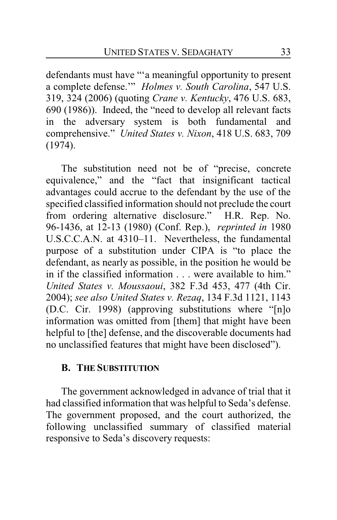defendants must have "'a meaningful opportunity to present a complete defense.'" *Holmes v. South Carolina*, 547 U.S. 319, 324 (2006) (quoting *Crane v. Kentucky*, 476 U.S. 683, 690 (1986)). Indeed, the "need to develop all relevant facts in the adversary system is both fundamental and comprehensive." *United States v. Nixon*, 418 U.S. 683, 709 (1974).

The substitution need not be of "precise, concrete equivalence," and the "fact that insignificant tactical advantages could accrue to the defendant by the use of the specified classified information should not preclude the court from ordering alternative disclosure." H.R. Rep. No. 96-1436, at 12-13 (1980) (Conf. Rep.), *reprinted in* 1980 U.S.C.C.A.N. at 4310–11. Nevertheless, the fundamental purpose of a substitution under CIPA is "to place the defendant, as nearly as possible, in the position he would be in if the classified information . . . were available to him." *United States v. Moussaoui*, 382 F.3d 453, 477 (4th Cir. 2004); *see also United States v. Rezaq*, 134 F.3d 1121, 1143 (D.C. Cir. 1998) (approving substitutions where "[n]o information was omitted from [them] that might have been helpful to [the] defense, and the discoverable documents had no unclassified features that might have been disclosed").

# **B. THE SUBSTITUTION**

The government acknowledged in advance of trial that it had classified information that was helpful to Seda's defense. The government proposed, and the court authorized, the following unclassified summary of classified material responsive to Seda's discovery requests: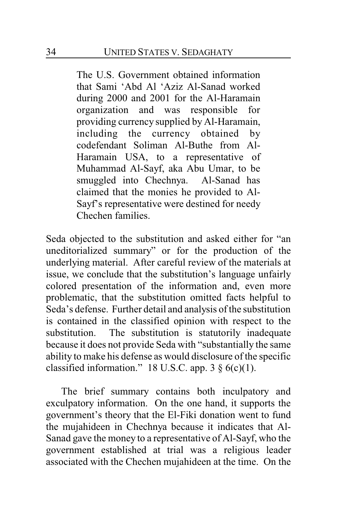The U.S. Government obtained information that Sami 'Abd Al 'Aziz Al-Sanad worked during 2000 and 2001 for the Al-Haramain organization and was responsible for providing currency supplied by Al-Haramain, including the currency obtained by codefendant Soliman Al-Buthe from Al-Haramain USA, to a representative of Muhammad Al-Sayf, aka Abu Umar, to be smuggled into Chechnya. Al-Sanad has claimed that the monies he provided to Al-Sayf's representative were destined for needy Chechen families.

Seda objected to the substitution and asked either for "an uneditorialized summary" or for the production of the underlying material. After careful review of the materials at issue, we conclude that the substitution's language unfairly colored presentation of the information and, even more problematic, that the substitution omitted facts helpful to Seda's defense. Further detail and analysis of the substitution is contained in the classified opinion with respect to the substitution. The substitution is statutorily inadequate because it does not provide Seda with "substantially the same ability to make his defense as would disclosure of the specific classified information." 18 U.S.C. app.  $3 \S (c)(1)$ .

The brief summary contains both inculpatory and exculpatory information. On the one hand, it supports the government's theory that the El-Fiki donation went to fund the mujahideen in Chechnya because it indicates that Al-Sanad gave the money to a representative of Al-Sayf, who the government established at trial was a religious leader associated with the Chechen mujahideen at the time. On the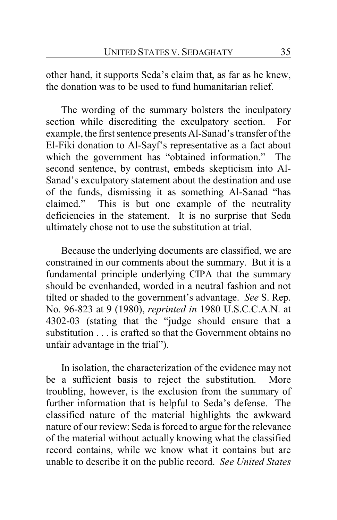other hand, it supports Seda's claim that, as far as he knew, the donation was to be used to fund humanitarian relief.

The wording of the summary bolsters the inculpatory section while discrediting the exculpatory section. For example, the first sentence presents Al-Sanad's transfer of the El-Fiki donation to Al-Sayf's representative as a fact about which the government has "obtained information." The second sentence, by contrast, embeds skepticism into Al-Sanad's exculpatory statement about the destination and use of the funds, dismissing it as something Al-Sanad "has claimed." This is but one example of the neutrality deficiencies in the statement. It is no surprise that Seda ultimately chose not to use the substitution at trial.

Because the underlying documents are classified, we are constrained in our comments about the summary. But it is a fundamental principle underlying CIPA that the summary should be evenhanded, worded in a neutral fashion and not tilted or shaded to the government's advantage. *See* S. Rep. No. 96-823 at 9 (1980), *reprinted in* 1980 U.S.C.C.A.N. at 4302-03 (stating that the "judge should ensure that a substitution . . . is crafted so that the Government obtains no unfair advantage in the trial").

In isolation, the characterization of the evidence may not be a sufficient basis to reject the substitution. More troubling, however, is the exclusion from the summary of further information that is helpful to Seda's defense. The classified nature of the material highlights the awkward nature of our review: Seda is forced to argue for the relevance of the material without actually knowing what the classified record contains, while we know what it contains but are unable to describe it on the public record. *See United States*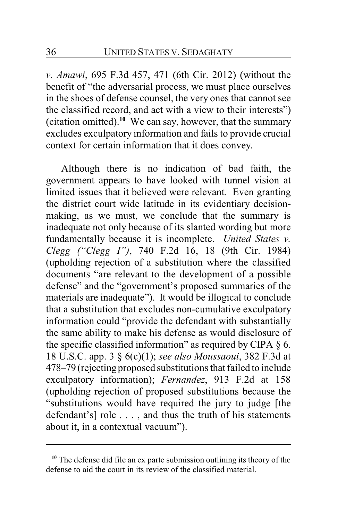*v. Amawi*, 695 F.3d 457, 471 (6th Cir. 2012) (without the benefit of "the adversarial process, we must place ourselves in the shoes of defense counsel, the very ones that cannot see the classified record, and act with a view to their interests") (citation omitted).**<sup>10</sup>** We can say, however, that the summary excludes exculpatory information and fails to provide crucial context for certain information that it does convey.

Although there is no indication of bad faith, the government appears to have looked with tunnel vision at limited issues that it believed were relevant. Even granting the district court wide latitude in its evidentiary decisionmaking, as we must, we conclude that the summary is inadequate not only because of its slanted wording but more fundamentally because it is incomplete. *United States v. Clegg ("Clegg I")*, 740 F.2d 16, 18 (9th Cir. 1984) (upholding rejection of a substitution where the classified documents "are relevant to the development of a possible defense" and the "government's proposed summaries of the materials are inadequate"). It would be illogical to conclude that a substitution that excludes non-cumulative exculpatory information could "provide the defendant with substantially the same ability to make his defense as would disclosure of the specific classified information" as required by CIPA  $\S$  6. 18 U.S.C. app. 3 § 6(c)(1); *see also Moussaoui*, 382 F.3d at 478–79 (rejecting proposed substitutions that failed to include exculpatory information); *Fernandez*, 913 F.2d at 158 (upholding rejection of proposed substitutions because the "substitutions would have required the jury to judge [the defendant's] role . . . , and thus the truth of his statements about it, in a contextual vacuum").

**<sup>10</sup>** The defense did file an ex parte submission outlining its theory of the defense to aid the court in its review of the classified material.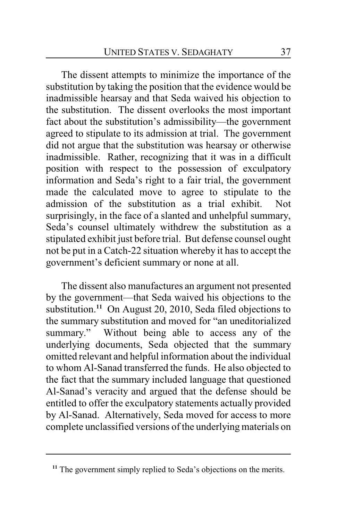The dissent attempts to minimize the importance of the substitution by taking the position that the evidence would be inadmissible hearsay and that Seda waived his objection to the substitution. The dissent overlooks the most important fact about the substitution's admissibility—the government agreed to stipulate to its admission at trial. The government did not argue that the substitution was hearsay or otherwise inadmissible. Rather, recognizing that it was in a difficult position with respect to the possession of exculpatory information and Seda's right to a fair trial, the government made the calculated move to agree to stipulate to the admission of the substitution as a trial exhibit. Not surprisingly, in the face of a slanted and unhelpful summary, Seda's counsel ultimately withdrew the substitution as a stipulated exhibit just before trial. But defense counsel ought not be put in a Catch-22 situation whereby it has to accept the government's deficient summary or none at all.

The dissent also manufactures an argument not presented by the government—that Seda waived his objections to the substitution.**<sup>11</sup>** On August 20, 2010, Seda filed objections to the summary substitution and moved for "an uneditorialized summary." Without being able to access any of the underlying documents, Seda objected that the summary omitted relevant and helpful information about the individual to whom Al-Sanad transferred the funds. He also objected to the fact that the summary included language that questioned Al-Sanad's veracity and argued that the defense should be entitled to offer the exculpatory statements actually provided by Al-Sanad. Alternatively, Seda moved for access to more complete unclassified versions of the underlying materials on

<sup>&</sup>lt;sup>11</sup> The government simply replied to Seda's objections on the merits.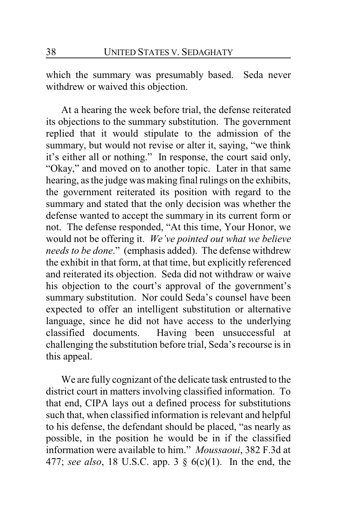which the summary was presumably based. Seda never withdrew or waived this objection.

At a hearing the week before trial, the defense reiterated its objections to the summary substitution. The government replied that it would stipulate to the admission of the summary, but would not revise or alter it, saying, "we think it's either all or nothing." In response, the court said only, "Okay," and moved on to another topic. Later in that same hearing, as the judge was making final rulings on the exhibits, the government reiterated its position with regard to the summary and stated that the only decision was whether the defense wanted to accept the summary in its current form or not. The defense responded, "At this time, Your Honor, we would not be offering it. *We've pointed out what we believe needs to be done*." (emphasis added). The defense withdrew the exhibit in that form, at that time, but explicitly referenced and reiterated its objection. Seda did not withdraw or waive his objection to the court's approval of the government's summary substitution. Nor could Seda's counsel have been expected to offer an intelligent substitution or alternative language, since he did not have access to the underlying classified documents. Having been unsuccessful at challenging the substitution before trial, Seda's recourse is in this appeal.

We are fully cognizant of the delicate task entrusted to the district court in matters involving classified information. To that end, CIPA lays out a defined process for substitutions such that, when classified information is relevant and helpful to his defense, the defendant should be placed, "as nearly as possible, in the position he would be in if the classified information were available to him." *Moussaoui*, 382 F.3d at 477; *see also*, 18 U.S.C. app. 3 § 6(c)(1). In the end, the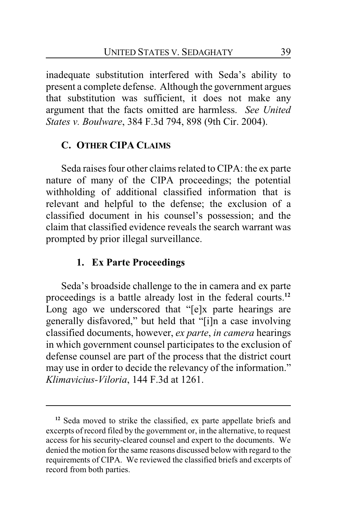inadequate substitution interfered with Seda's ability to present a complete defense. Although the government argues that substitution was sufficient, it does not make any argument that the facts omitted are harmless. *See United States v. Boulware*, 384 F.3d 794, 898 (9th Cir. 2004).

### **C. OTHER CIPA CLAIMS**

Seda raises four other claims related to CIPA: the ex parte nature of many of the CIPA proceedings; the potential withholding of additional classified information that is relevant and helpful to the defense; the exclusion of a classified document in his counsel's possession; and the claim that classified evidence reveals the search warrant was prompted by prior illegal surveillance.

### **1. Ex Parte Proceedings**

Seda's broadside challenge to the in camera and ex parte proceedings is a battle already lost in the federal courts.**<sup>12</sup>** Long ago we underscored that "[e]x parte hearings are generally disfavored," but held that "[i]n a case involving classified documents, however, *ex parte*, *in camera* hearings in which government counsel participates to the exclusion of defense counsel are part of the process that the district court may use in order to decide the relevancy of the information." *Klimavicius-Viloria*, 144 F.3d at 1261.

**<sup>12</sup>** Seda moved to strike the classified, ex parte appellate briefs and excerpts of record filed by the government or, in the alternative, to request access for his security-cleared counsel and expert to the documents. We denied the motion for the same reasons discussed below with regard to the requirements of CIPA. We reviewed the classified briefs and excerpts of record from both parties.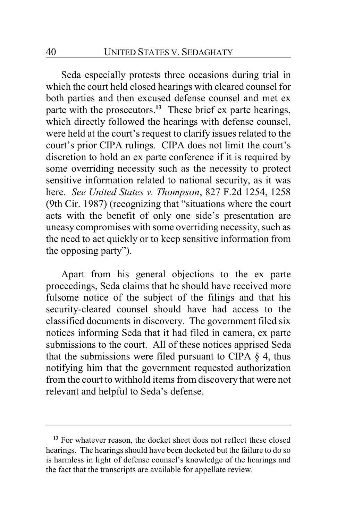Seda especially protests three occasions during trial in which the court held closed hearings with cleared counsel for both parties and then excused defense counsel and met ex parte with the prosecutors.**<sup>13</sup>** These brief ex parte hearings, which directly followed the hearings with defense counsel, were held at the court's request to clarify issues related to the court's prior CIPA rulings. CIPA does not limit the court's discretion to hold an ex parte conference if it is required by some overriding necessity such as the necessity to protect sensitive information related to national security, as it was here. *See United States v. Thompson*, 827 F.2d 1254, 1258 (9th Cir. 1987) (recognizing that "situations where the court acts with the benefit of only one side's presentation are uneasy compromises with some overriding necessity, such as the need to act quickly or to keep sensitive information from the opposing party").

Apart from his general objections to the ex parte proceedings, Seda claims that he should have received more fulsome notice of the subject of the filings and that his security-cleared counsel should have had access to the classified documents in discovery. The government filed six notices informing Seda that it had filed in camera, ex parte submissions to the court. All of these notices apprised Seda that the submissions were filed pursuant to CIPA  $\S$  4, thus notifying him that the government requested authorization from the court to withhold items from discovery that were not relevant and helpful to Seda's defense.

<sup>&</sup>lt;sup>13</sup> For whatever reason, the docket sheet does not reflect these closed hearings. The hearings should have been docketed but the failure to do so is harmless in light of defense counsel's knowledge of the hearings and the fact that the transcripts are available for appellate review.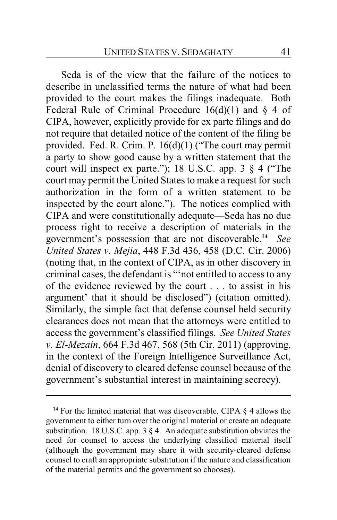Seda is of the view that the failure of the notices to describe in unclassified terms the nature of what had been provided to the court makes the filings inadequate. Both Federal Rule of Criminal Procedure  $16(d)(1)$  and § 4 of CIPA, however, explicitly provide for ex parte filings and do not require that detailed notice of the content of the filing be provided. Fed. R. Crim. P. 16(d)(1) ("The court may permit a party to show good cause by a written statement that the court will inspect ex parte."); 18 U.S.C. app. 3 § 4 ("The court may permit the United States to make a request for such authorization in the form of a written statement to be inspected by the court alone."). The notices complied with CIPA and were constitutionally adequate—Seda has no due process right to receive a description of materials in the government's possession that are not discoverable.**<sup>14</sup>** *See United States v. Mejia*, 448 F.3d 436, 458 (D.C. Cir. 2006) (noting that, in the context of CIPA, as in other discovery in criminal cases, the defendant is "'not entitled to access to any of the evidence reviewed by the court . . . to assist in his argument' that it should be disclosed") (citation omitted). Similarly, the simple fact that defense counsel held security clearances does not mean that the attorneys were entitled to access the government's classified filings. *See United States v. El-Mezain*, 664 F.3d 467, 568 (5th Cir. 2011) (approving, in the context of the Foreign Intelligence Surveillance Act, denial of discovery to cleared defense counsel because of the government's substantial interest in maintaining secrecy).

**<sup>14</sup>** For the limited material that was discoverable, CIPA § 4 allows the government to either turn over the original material or create an adequate substitution. 18 U.S.C. app. 3  $\S$  4. An adequate substitution obviates the need for counsel to access the underlying classified material itself (although the government may share it with security-cleared defense counsel to craft an appropriate substitution if the nature and classification of the material permits and the government so chooses).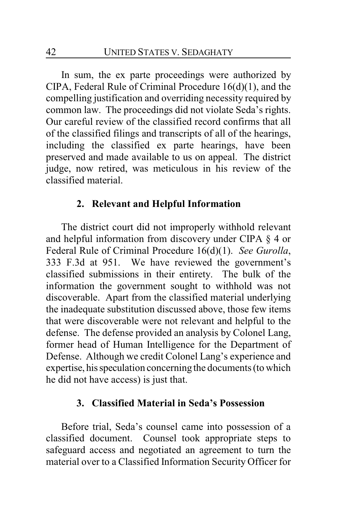In sum, the ex parte proceedings were authorized by CIPA, Federal Rule of Criminal Procedure 16(d)(1), and the compelling justification and overriding necessity required by common law. The proceedings did not violate Seda's rights. Our careful review of the classified record confirms that all of the classified filings and transcripts of all of the hearings, including the classified ex parte hearings, have been preserved and made available to us on appeal. The district judge, now retired, was meticulous in his review of the classified material.

#### **2. Relevant and Helpful Information**

The district court did not improperly withhold relevant and helpful information from discovery under CIPA § 4 or Federal Rule of Criminal Procedure 16(d)(1). *See Gurolla*, 333 F.3d at 951. We have reviewed the government's classified submissions in their entirety. The bulk of the information the government sought to withhold was not discoverable. Apart from the classified material underlying the inadequate substitution discussed above, those few items that were discoverable were not relevant and helpful to the defense. The defense provided an analysis by Colonel Lang, former head of Human Intelligence for the Department of Defense. Although we credit Colonel Lang's experience and expertise, hisspeculation concerning the documents (to which he did not have access) is just that.

### **3. Classified Material in Seda's Possession**

Before trial, Seda's counsel came into possession of a classified document. Counsel took appropriate steps to safeguard access and negotiated an agreement to turn the material over to a Classified Information Security Officer for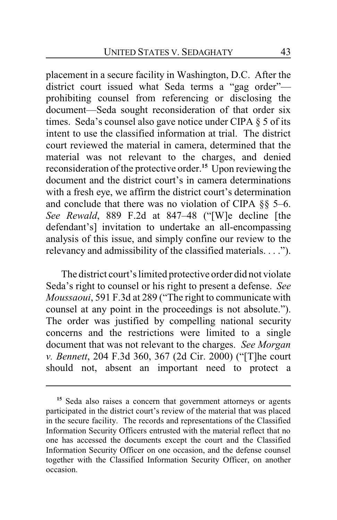placement in a secure facility in Washington, D.C. After the district court issued what Seda terms a "gag order" prohibiting counsel from referencing or disclosing the document—Seda sought reconsideration of that order six times. Seda's counsel also gave notice under CIPA § 5 of its intent to use the classified information at trial. The district court reviewed the material in camera, determined that the material was not relevant to the charges, and denied reconsideration of the protective order.**<sup>15</sup>** Upon reviewing the document and the district court's in camera determinations with a fresh eye, we affirm the district court's determination and conclude that there was no violation of CIPA §§ 5–6. *See Rewald*, 889 F.2d at 847–48 ("[W]e decline [the defendant's] invitation to undertake an all-encompassing analysis of this issue, and simply confine our review to the relevancy and admissibility of the classified materials. . . .").

The district court's limited protective order did not violate Seda's right to counsel or his right to present a defense. *See Moussaoui*, 591 F.3d at 289 ("The right to communicate with counsel at any point in the proceedings is not absolute."). The order was justified by compelling national security concerns and the restrictions were limited to a single document that was not relevant to the charges. *See Morgan v. Bennett*, 204 F.3d 360, 367 (2d Cir. 2000) ("[T]he court should not, absent an important need to protect a

**<sup>15</sup>** Seda also raises a concern that government attorneys or agents participated in the district court's review of the material that was placed in the secure facility. The records and representations of the Classified Information Security Officers entrusted with the material reflect that no one has accessed the documents except the court and the Classified Information Security Officer on one occasion, and the defense counsel together with the Classified Information Security Officer, on another occasion.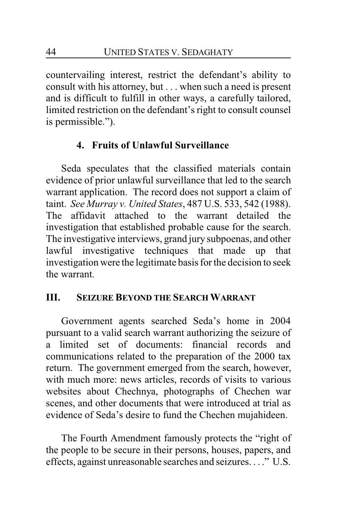countervailing interest, restrict the defendant's ability to consult with his attorney, but . . . when such a need is present and is difficult to fulfill in other ways, a carefully tailored, limited restriction on the defendant's right to consult counsel is permissible.").

# **4. Fruits of Unlawful Surveillance**

Seda speculates that the classified materials contain evidence of prior unlawful surveillance that led to the search warrant application. The record does not support a claim of taint. *See Murray v. United States*, 487 U.S. 533, 542 (1988). The affidavit attached to the warrant detailed the investigation that established probable cause for the search. The investigative interviews, grand jury subpoenas, and other lawful investigative techniques that made up that investigation were the legitimate basis for the decision to seek the warrant.

### **III. SEIZURE BEYOND THE SEARCH WARRANT**

Government agents searched Seda's home in 2004 pursuant to a valid search warrant authorizing the seizure of a limited set of documents: financial records and communications related to the preparation of the 2000 tax return. The government emerged from the search, however, with much more: news articles, records of visits to various websites about Chechnya, photographs of Chechen war scenes, and other documents that were introduced at trial as evidence of Seda's desire to fund the Chechen mujahideen.

The Fourth Amendment famously protects the "right of the people to be secure in their persons, houses, papers, and effects, against unreasonable searches and seizures. . . ." U.S.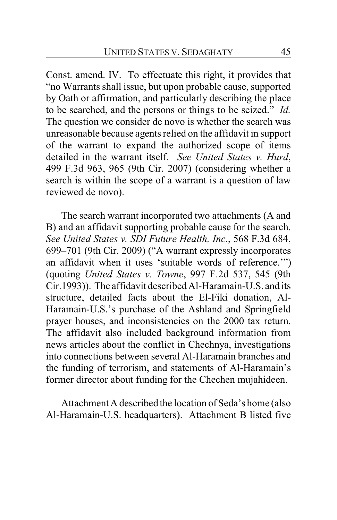Const. amend. IV. To effectuate this right, it provides that "no Warrants shall issue, but upon probable cause, supported by Oath or affirmation, and particularly describing the place to be searched, and the persons or things to be seized." *Id.* The question we consider de novo is whether the search was unreasonable because agents relied on the affidavit in support of the warrant to expand the authorized scope of items detailed in the warrant itself. *See United States v. Hurd*, 499 F.3d 963, 965 (9th Cir. 2007) (considering whether a search is within the scope of a warrant is a question of law reviewed de novo).

The search warrant incorporated two attachments (A and B) and an affidavit supporting probable cause for the search. *See United States v. SDI Future Health, Inc.*, 568 F.3d 684, 699–701 (9th Cir. 2009) ("A warrant expressly incorporates an affidavit when it uses 'suitable words of reference.'") (quoting *United States v. Towne*, 997 F.2d 537, 545 (9th Cir.1993)). The affidavit described Al-Haramain-U.S. and its structure, detailed facts about the El-Fiki donation, Al-Haramain-U.S.'s purchase of the Ashland and Springfield prayer houses, and inconsistencies on the 2000 tax return. The affidavit also included background information from news articles about the conflict in Chechnya, investigations into connections between several Al-Haramain branches and the funding of terrorism, and statements of Al-Haramain's former director about funding for the Chechen mujahideen.

Attachment A described the location of Seda's home (also Al-Haramain-U.S. headquarters). Attachment B listed five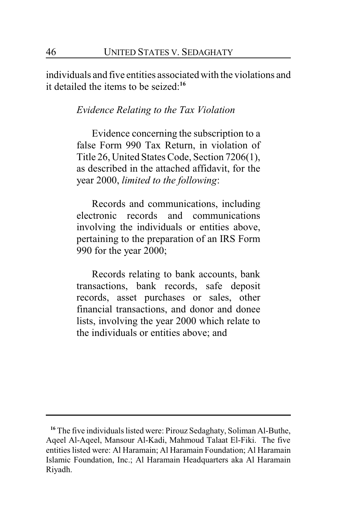individuals and five entities associated with the violations and it detailed the items to be seized:**<sup>16</sup>**

#### *Evidence Relating to the Tax Violation*

Evidence concerning the subscription to a false Form 990 Tax Return, in violation of Title 26, United States Code, Section 7206(1), as described in the attached affidavit, for the year 2000, *limited to the following*:

Records and communications, including electronic records and communications involving the individuals or entities above, pertaining to the preparation of an IRS Form 990 for the year 2000;

Records relating to bank accounts, bank transactions, bank records, safe deposit records, asset purchases or sales, other financial transactions, and donor and donee lists, involving the year 2000 which relate to the individuals or entities above; and

**<sup>16</sup>** The five individuals listed were: Pirouz Sedaghaty, Soliman Al-Buthe, Aqeel Al-Aqeel, Mansour Al-Kadi, Mahmoud Talaat El-Fiki. The five entities listed were: Al Haramain; Al Haramain Foundation; Al Haramain Islamic Foundation, Inc.; Al Haramain Headquarters aka Al Haramain Riyadh.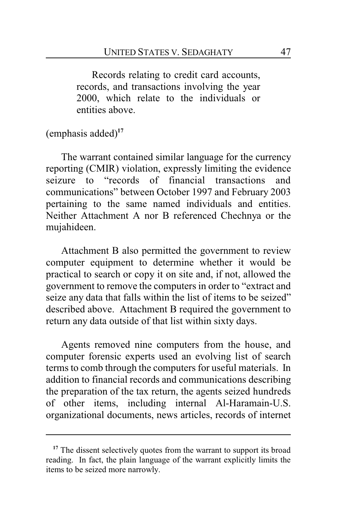Records relating to credit card accounts, records, and transactions involving the year 2000, which relate to the individuals or entities above.

(emphasis added)**<sup>17</sup>**

The warrant contained similar language for the currency reporting (CMIR) violation, expressly limiting the evidence seizure to "records of financial transactions and communications" between October 1997 and February 2003 pertaining to the same named individuals and entities. Neither Attachment A nor B referenced Chechnya or the mujahideen.

Attachment B also permitted the government to review computer equipment to determine whether it would be practical to search or copy it on site and, if not, allowed the government to remove the computers in order to "extract and seize any data that falls within the list of items to be seized" described above. Attachment B required the government to return any data outside of that list within sixty days.

Agents removed nine computers from the house, and computer forensic experts used an evolving list of search terms to comb through the computers for useful materials. In addition to financial records and communications describing the preparation of the tax return, the agents seized hundreds of other items, including internal Al-Haramain-U.S. organizational documents, news articles, records of internet

<sup>&</sup>lt;sup>17</sup> The dissent selectively quotes from the warrant to support its broad reading. In fact, the plain language of the warrant explicitly limits the items to be seized more narrowly.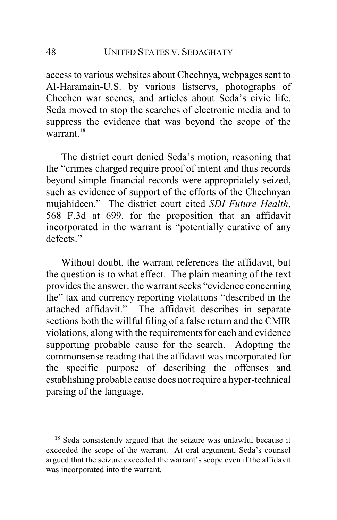access to various websites about Chechnya, webpages sent to Al-Haramain-U.S. by various listservs, photographs of Chechen war scenes, and articles about Seda's civic life. Seda moved to stop the searches of electronic media and to suppress the evidence that was beyond the scope of the warrant.**<sup>18</sup>**

The district court denied Seda's motion, reasoning that the "crimes charged require proof of intent and thus records beyond simple financial records were appropriately seized, such as evidence of support of the efforts of the Chechnyan mujahideen." The district court cited *SDI Future Health*, 568 F.3d at 699, for the proposition that an affidavit incorporated in the warrant is "potentially curative of any defects<sup>"</sup>

Without doubt, the warrant references the affidavit, but the question is to what effect. The plain meaning of the text provides the answer: the warrant seeks "evidence concerning the" tax and currency reporting violations "described in the attached affidavit." The affidavit describes in separate sections both the willful filing of a false return and the CMIR violations, along with the requirements for each and evidence supporting probable cause for the search. Adopting the commonsense reading that the affidavit was incorporated for the specific purpose of describing the offenses and establishing probable cause does not require a hyper-technical parsing of the language.

**<sup>18</sup>** Seda consistently argued that the seizure was unlawful because it exceeded the scope of the warrant. At oral argument, Seda's counsel argued that the seizure exceeded the warrant's scope even if the affidavit was incorporated into the warrant.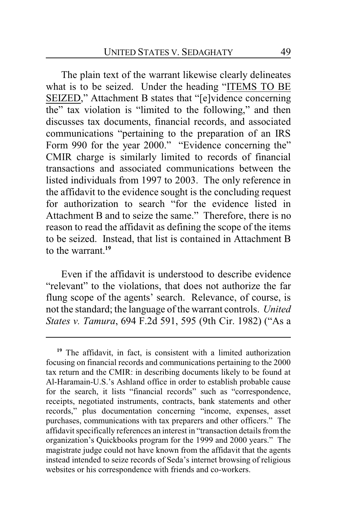The plain text of the warrant likewise clearly delineates what is to be seized. Under the heading "ITEMS TO BE SEIZED," Attachment B states that "[e]vidence concerning the" tax violation is "limited to the following," and then discusses tax documents, financial records, and associated communications "pertaining to the preparation of an IRS Form 990 for the year 2000." "Evidence concerning the" CMIR charge is similarly limited to records of financial transactions and associated communications between the listed individuals from 1997 to 2003. The only reference in the affidavit to the evidence sought is the concluding request for authorization to search "for the evidence listed in Attachment B and to seize the same." Therefore, there is no reason to read the affidavit as defining the scope of the items to be seized. Instead, that list is contained in Attachment B to the warrant.**<sup>19</sup>**

Even if the affidavit is understood to describe evidence "relevant" to the violations, that does not authorize the far flung scope of the agents' search. Relevance, of course, is not the standard; the language of the warrant controls. *United States v. Tamura*, 694 F.2d 591, 595 (9th Cir. 1982) ("As a

<sup>&</sup>lt;sup>19</sup> The affidavit, in fact, is consistent with a limited authorization focusing on financial records and communications pertaining to the 2000 tax return and the CMIR: in describing documents likely to be found at Al-Haramain-U.S.'s Ashland office in order to establish probable cause for the search, it lists "financial records" such as "correspondence, receipts, negotiated instruments, contracts, bank statements and other records," plus documentation concerning "income, expenses, asset purchases, communications with tax preparers and other officers." The affidavit specifically references an interest in "transaction details from the organization's Quickbooks program for the 1999 and 2000 years." The magistrate judge could not have known from the affidavit that the agents instead intended to seize records of Seda's internet browsing of religious websites or his correspondence with friends and co-workers.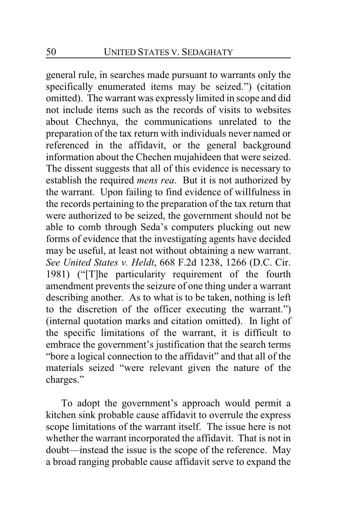general rule, in searches made pursuant to warrants only the specifically enumerated items may be seized.") (citation omitted). The warrant was expressly limited in scope and did not include items such as the records of visits to websites about Chechnya, the communications unrelated to the preparation of the tax return with individuals never named or referenced in the affidavit, or the general background information about the Chechen mujahideen that were seized. The dissent suggests that all of this evidence is necessary to establish the required *mens rea*. But it is not authorized by the warrant. Upon failing to find evidence of willfulness in the records pertaining to the preparation of the tax return that were authorized to be seized, the government should not be able to comb through Seda's computers plucking out new forms of evidence that the investigating agents have decided may be useful, at least not without obtaining a new warrant. *See United States v. Heldt*, 668 F.2d 1238, 1266 (D.C. Cir. 1981) ("[T]he particularity requirement of the fourth amendment prevents the seizure of one thing under a warrant describing another. As to what is to be taken, nothing is left to the discretion of the officer executing the warrant.") (internal quotation marks and citation omitted). In light of the specific limitations of the warrant, it is difficult to embrace the government's justification that the search terms "bore a logical connection to the affidavit" and that all of the materials seized "were relevant given the nature of the charges."

To adopt the government's approach would permit a kitchen sink probable cause affidavit to overrule the express scope limitations of the warrant itself. The issue here is not whether the warrant incorporated the affidavit. That is not in doubt—instead the issue is the scope of the reference. May a broad ranging probable cause affidavit serve to expand the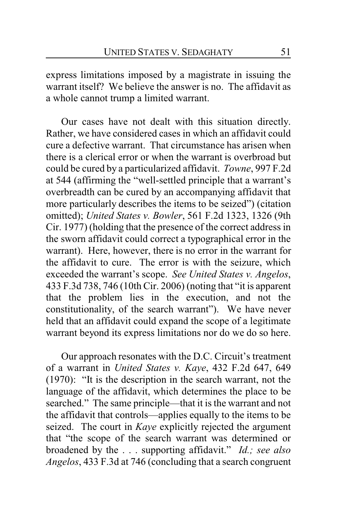express limitations imposed by a magistrate in issuing the warrant itself? We believe the answer is no. The affidavit as a whole cannot trump a limited warrant.

Our cases have not dealt with this situation directly. Rather, we have considered cases in which an affidavit could cure a defective warrant. That circumstance has arisen when there is a clerical error or when the warrant is overbroad but could be cured by a particularized affidavit. *Towne*, 997 F.2d at 544 (affirming the "well-settled principle that a warrant's overbreadth can be cured by an accompanying affidavit that more particularly describes the items to be seized") (citation omitted); *United States v. Bowler*, 561 F.2d 1323, 1326 (9th Cir. 1977) (holding that the presence of the correct address in the sworn affidavit could correct a typographical error in the warrant).Here, however, there is no error in the warrant for the affidavit to cure. The error is with the seizure, which exceeded the warrant's scope. *See United States v. Angelos*, 433 F.3d 738, 746 (10th Cir. 2006) (noting that "it is apparent that the problem lies in the execution, and not the constitutionality, of the search warrant"). We have never held that an affidavit could expand the scope of a legitimate warrant beyond its express limitations nor do we do so here.

Our approach resonates with the D.C. Circuit's treatment of a warrant in *United States v. Kaye*, 432 F.2d 647, 649 (1970): "It is the description in the search warrant, not the language of the affidavit, which determines the place to be searched." The same principle—that it is the warrant and not the affidavit that controls—applies equally to the items to be seized. The court in *Kaye* explicitly rejected the argument that "the scope of the search warrant was determined or broadened by the . . . supporting affidavit." *Id.; see also Angelos*, 433 F.3d at 746 (concluding that a search congruent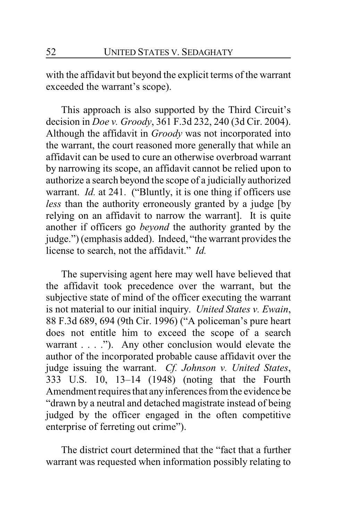with the affidavit but beyond the explicit terms of the warrant exceeded the warrant's scope).

This approach is also supported by the Third Circuit's decision in *Doe v. Groody*, 361 F.3d 232, 240 (3d Cir. 2004). Although the affidavit in *Groody* was not incorporated into the warrant, the court reasoned more generally that while an affidavit can be used to cure an otherwise overbroad warrant by narrowing its scope, an affidavit cannot be relied upon to authorize a search beyond the scope of a judicially authorized warrant. *Id.* at 241. ("Bluntly, it is one thing if officers use *less* than the authority erroneously granted by a judge [by relying on an affidavit to narrow the warrant]. It is quite another if officers go *beyond* the authority granted by the judge.") (emphasis added). Indeed, "the warrant provides the license to search, not the affidavit." *Id.*

The supervising agent here may well have believed that the affidavit took precedence over the warrant, but the subjective state of mind of the officer executing the warrant is not material to our initial inquiry. *United States v. Ewain*, 88 F.3d 689, 694 (9th Cir. 1996) ("A policeman's pure heart does not entitle him to exceed the scope of a search warrant  $\dots$  ."). Any other conclusion would elevate the author of the incorporated probable cause affidavit over the judge issuing the warrant. *Cf. Johnson v. United States*, 333 U.S. 10, 13–14 (1948) (noting that the Fourth Amendment requires that anyinferences from the evidence be "drawn by a neutral and detached magistrate instead of being judged by the officer engaged in the often competitive enterprise of ferreting out crime").

The district court determined that the "fact that a further warrant was requested when information possibly relating to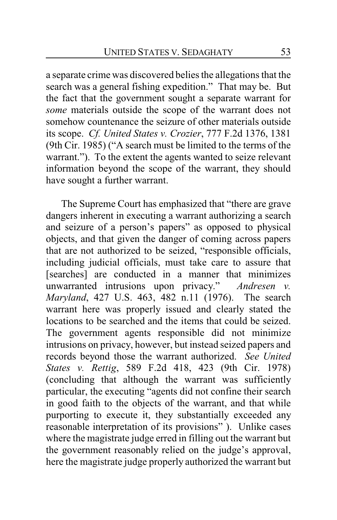a separate crime was discovered belies the allegations that the search was a general fishing expedition." That may be. But the fact that the government sought a separate warrant for *some* materials outside the scope of the warrant does not somehow countenance the seizure of other materials outside its scope. *Cf. United States v. Crozier*, 777 F.2d 1376, 1381 (9th Cir. 1985) ("A search must be limited to the terms of the warrant."). To the extent the agents wanted to seize relevant information beyond the scope of the warrant, they should have sought a further warrant.

The Supreme Court has emphasized that "there are grave dangers inherent in executing a warrant authorizing a search and seizure of a person's papers" as opposed to physical objects, and that given the danger of coming across papers that are not authorized to be seized, "responsible officials, including judicial officials, must take care to assure that [searches] are conducted in a manner that minimizes unwarranted intrusions upon privacy." *Andresen v. Maryland*, 427 U.S. 463, 482 n.11 (1976). The search warrant here was properly issued and clearly stated the locations to be searched and the items that could be seized. The government agents responsible did not minimize intrusions on privacy, however, but instead seized papers and records beyond those the warrant authorized. *See United States v. Rettig*, 589 F.2d 418, 423 (9th Cir. 1978) (concluding that although the warrant was sufficiently particular, the executing "agents did not confine their search in good faith to the objects of the warrant, and that while purporting to execute it, they substantially exceeded any reasonable interpretation of its provisions" ). Unlike cases where the magistrate judge erred in filling out the warrant but the government reasonably relied on the judge's approval, here the magistrate judge properly authorized the warrant but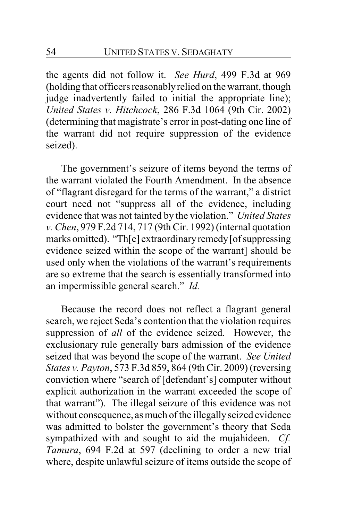the agents did not follow it. *See Hurd*, 499 F.3d at 969 (holding that officers reasonablyrelied on the warrant, though judge inadvertently failed to initial the appropriate line); *United States v. Hitchcock*, 286 F.3d 1064 (9th Cir. 2002) (determining that magistrate's error in post-dating one line of the warrant did not require suppression of the evidence seized).

The government's seizure of items beyond the terms of the warrant violated the Fourth Amendment. In the absence of "flagrant disregard for the terms of the warrant," a district court need not "suppress all of the evidence, including evidence that was not tainted by the violation." *United States v. Chen*, 979 F.2d 714, 717 (9th Cir. 1992) (internal quotation marks omitted). "Th[e] extraordinary remedy [of suppressing evidence seized within the scope of the warrant] should be used only when the violations of the warrant's requirements are so extreme that the search is essentially transformed into an impermissible general search." *Id.*

Because the record does not reflect a flagrant general search, we reject Seda's contention that the violation requires suppression of *all* of the evidence seized. However, the exclusionary rule generally bars admission of the evidence seized that was beyond the scope of the warrant. *See United States v. Payton*, 573 F.3d 859, 864 (9th Cir. 2009) (reversing conviction where "search of [defendant's] computer without explicit authorization in the warrant exceeded the scope of that warrant"). The illegal seizure of this evidence was not without consequence, as much of the illegally seized evidence was admitted to bolster the government's theory that Seda sympathized with and sought to aid the mujahideen. *Cf. Tamura*, 694 F.2d at 597 (declining to order a new trial where, despite unlawful seizure of items outside the scope of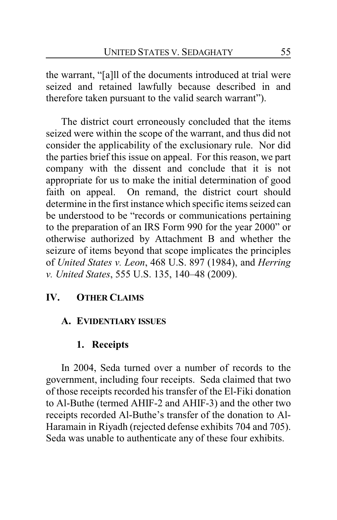the warrant, "[a]ll of the documents introduced at trial were seized and retained lawfully because described in and therefore taken pursuant to the valid search warrant").

The district court erroneously concluded that the items seized were within the scope of the warrant, and thus did not consider the applicability of the exclusionary rule. Nor did the parties brief this issue on appeal. For this reason, we part company with the dissent and conclude that it is not appropriate for us to make the initial determination of good faith on appeal. On remand, the district court should determine in the first instance which specific items seized can be understood to be "records or communications pertaining to the preparation of an IRS Form 990 for the year 2000" or otherwise authorized by Attachment B and whether the seizure of items beyond that scope implicates the principles of *United States v. Leon*, 468 U.S. 897 (1984), and *Herring v. United States*, 555 U.S. 135, 140–48 (2009).

# **IV. OTHER CLAIMS**

### **A. EVIDENTIARY ISSUES**

# **1. Receipts**

In 2004, Seda turned over a number of records to the government, including four receipts. Seda claimed that two of those receipts recorded his transfer of the El-Fiki donation to Al-Buthe (termed AHIF-2 and AHIF-3) and the other two receipts recorded Al-Buthe's transfer of the donation to Al-Haramain in Riyadh (rejected defense exhibits 704 and 705). Seda was unable to authenticate any of these four exhibits.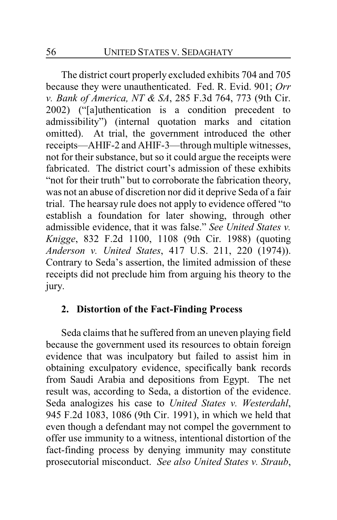The district court properly excluded exhibits 704 and 705 because they were unauthenticated. Fed. R. Evid. 901; *Orr v. Bank of America, NT & SA*, 285 F.3d 764, 773 (9th Cir. 2002) ("[a]uthentication is a condition precedent to admissibility") (internal quotation marks and citation omitted). At trial, the government introduced the other receipts—AHIF-2 and AHIF-3—through multiple witnesses, not for their substance, but so it could argue the receipts were fabricated. The district court's admission of these exhibits "not for their truth" but to corroborate the fabrication theory, was not an abuse of discretion nor did it deprive Seda of a fair trial. The hearsay rule does not apply to evidence offered "to establish a foundation for later showing, through other admissible evidence, that it was false." *See United States v. Knigge*, 832 F.2d 1100, 1108 (9th Cir. 1988) (quoting *Anderson v. United States*, 417 U.S. 211, 220 (1974)). Contrary to Seda's assertion, the limited admission of these receipts did not preclude him from arguing his theory to the jury.

### **2. Distortion of the Fact-Finding Process**

Seda claims that he suffered from an uneven playing field because the government used its resources to obtain foreign evidence that was inculpatory but failed to assist him in obtaining exculpatory evidence, specifically bank records from Saudi Arabia and depositions from Egypt. The net result was, according to Seda, a distortion of the evidence. Seda analogizes his case to *United States v. Westerdahl*, 945 F.2d 1083, 1086 (9th Cir. 1991), in which we held that even though a defendant may not compel the government to offer use immunity to a witness, intentional distortion of the fact-finding process by denying immunity may constitute prosecutorial misconduct. *See also United States v. Straub*,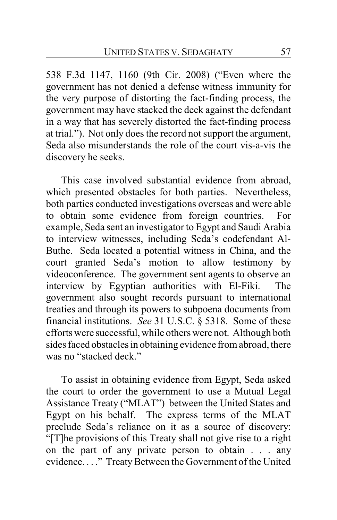538 F.3d 1147, 1160 (9th Cir. 2008) ("Even where the government has not denied a defense witness immunity for the very purpose of distorting the fact-finding process, the government may have stacked the deck against the defendant in a way that has severely distorted the fact-finding process at trial."). Not only does the record not support the argument, Seda also misunderstands the role of the court vis-a-vis the discovery he seeks.

This case involved substantial evidence from abroad, which presented obstacles for both parties. Nevertheless, both parties conducted investigations overseas and were able to obtain some evidence from foreign countries. For example, Seda sent an investigator to Egypt and Saudi Arabia to interview witnesses, including Seda's codefendant Al-Buthe. Seda located a potential witness in China, and the court granted Seda's motion to allow testimony by videoconference. The government sent agents to observe an interview by Egyptian authorities with El-Fiki. The government also sought records pursuant to international treaties and through its powers to subpoena documents from financial institutions. *See* 31 U.S.C. § 5318. Some of these efforts were successful, while others were not. Although both sides faced obstacles in obtaining evidence from abroad, there was no "stacked deck."

To assist in obtaining evidence from Egypt, Seda asked the court to order the government to use a Mutual Legal Assistance Treaty ("MLAT") between the United States and Egypt on his behalf. The express terms of the MLAT preclude Seda's reliance on it as a source of discovery: "[T]he provisions of this Treaty shall not give rise to a right on the part of any private person to obtain . . . any evidence...." Treaty Between the Government of the United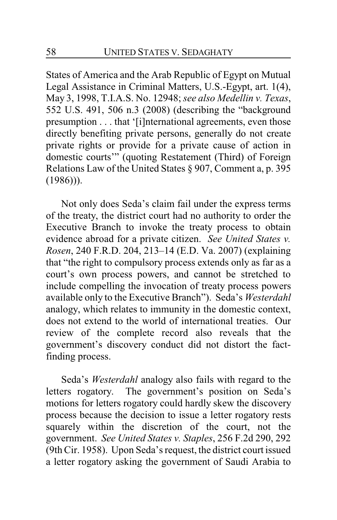States of America and the Arab Republic of Egypt on Mutual Legal Assistance in Criminal Matters, U.S.-Egypt, art. 1(4), May 3, 1998, T.I.A.S. No. 12948; *see also Medellin v. Texas*, 552 U.S. 491, 506 n.3 (2008) (describing the "background presumption . . . that '[i]nternational agreements, even those directly benefiting private persons, generally do not create private rights or provide for a private cause of action in domestic courts'" (quoting Restatement (Third) of Foreign Relations Law of the United States § 907, Comment a, p. 395  $(1986)$ ).

Not only does Seda's claim fail under the express terms of the treaty, the district court had no authority to order the Executive Branch to invoke the treaty process to obtain evidence abroad for a private citizen. *See United States v. Rosen*, 240 F.R.D. 204, 213–14 (E.D. Va. 2007) (explaining that "the right to compulsory process extends only as far as a court's own process powers, and cannot be stretched to include compelling the invocation of treaty process powers available only to the Executive Branch"). Seda's *Westerdahl* analogy, which relates to immunity in the domestic context, does not extend to the world of international treaties. Our review of the complete record also reveals that the government's discovery conduct did not distort the factfinding process.

Seda's *Westerdahl* analogy also fails with regard to the letters rogatory. The government's position on Seda's motions for letters rogatory could hardly skew the discovery process because the decision to issue a letter rogatory rests squarely within the discretion of the court, not the government. *See United States v. Staples*, 256 F.2d 290, 292 (9th Cir. 1958). Upon Seda's request, the district court issued a letter rogatory asking the government of Saudi Arabia to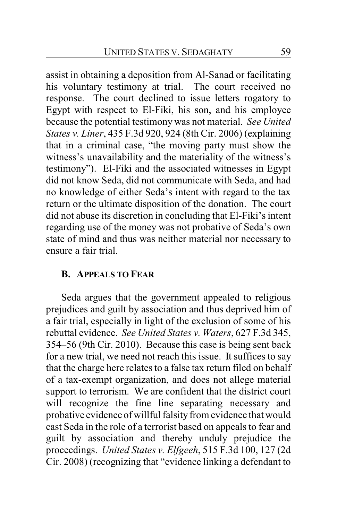assist in obtaining a deposition from Al-Sanad or facilitating his voluntary testimony at trial. The court received no response. The court declined to issue letters rogatory to Egypt with respect to El-Fiki, his son, and his employee because the potential testimony was not material. *See United States v. Liner*, 435 F.3d 920, 924 (8th Cir. 2006) (explaining that in a criminal case, "the moving party must show the witness's unavailability and the materiality of the witness's testimony"). El-Fiki and the associated witnesses in Egypt did not know Seda, did not communicate with Seda, and had no knowledge of either Seda's intent with regard to the tax return or the ultimate disposition of the donation. The court did not abuse its discretion in concluding that El-Fiki's intent regarding use of the money was not probative of Seda's own state of mind and thus was neither material nor necessary to ensure a fair trial.

#### **B. APPEALS TO FEAR**

Seda argues that the government appealed to religious prejudices and guilt by association and thus deprived him of a fair trial, especially in light of the exclusion of some of his rebuttal evidence. *See United States v. Waters*, 627 F.3d 345, 354–56 (9th Cir. 2010). Because this case is being sent back for a new trial, we need not reach this issue. It suffices to say that the charge here relates to a false tax return filed on behalf of a tax-exempt organization, and does not allege material support to terrorism. We are confident that the district court will recognize the fine line separating necessary and probative evidence of willful falsity from evidence that would cast Seda in the role of a terrorist based on appeals to fear and guilt by association and thereby unduly prejudice the proceedings. *United States v. Elfgeeh*, 515 F.3d 100, 127 (2d Cir. 2008) (recognizing that "evidence linking a defendant to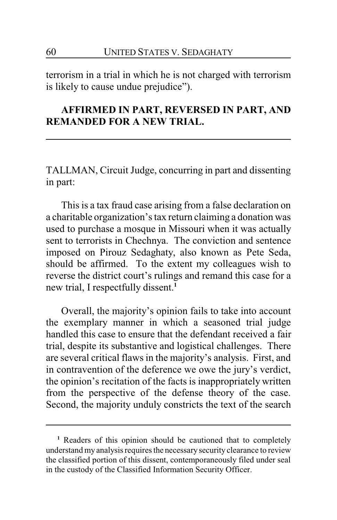terrorism in a trial in which he is not charged with terrorism is likely to cause undue prejudice").

# **AFFIRMED IN PART, REVERSED IN PART, AND REMANDED FOR A NEW TRIAL.**

TALLMAN, Circuit Judge, concurring in part and dissenting in part:

This is a tax fraud case arising from a false declaration on a charitable organization's tax return claiming a donation was used to purchase a mosque in Missouri when it was actually sent to terrorists in Chechnya. The conviction and sentence imposed on Pirouz Sedaghaty, also known as Pete Seda, should be affirmed. To the extent my colleagues wish to reverse the district court's rulings and remand this case for a new trial, I respectfully dissent.**<sup>1</sup>**

Overall, the majority's opinion fails to take into account the exemplary manner in which a seasoned trial judge handled this case to ensure that the defendant received a fair trial, despite its substantive and logistical challenges. There are several critical flaws in the majority's analysis. First, and in contravention of the deference we owe the jury's verdict, the opinion's recitation of the facts is inappropriately written from the perspective of the defense theory of the case. Second, the majority unduly constricts the text of the search

**<sup>1</sup>** Readers of this opinion should be cautioned that to completely understand my analysis requires the necessary security clearance to review the classified portion of this dissent, contemporaneously filed under seal in the custody of the Classified Information Security Officer.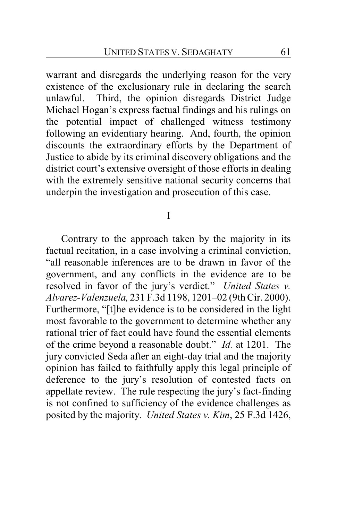warrant and disregards the underlying reason for the very existence of the exclusionary rule in declaring the search unlawful. Third, the opinion disregards District Judge Michael Hogan's express factual findings and his rulings on the potential impact of challenged witness testimony following an evidentiary hearing. And, fourth, the opinion discounts the extraordinary efforts by the Department of Justice to abide by its criminal discovery obligations and the district court's extensive oversight of those efforts in dealing with the extremely sensitive national security concerns that underpin the investigation and prosecution of this case.

I

Contrary to the approach taken by the majority in its factual recitation, in a case involving a criminal conviction, "all reasonable inferences are to be drawn in favor of the government, and any conflicts in the evidence are to be resolved in favor of the jury's verdict." *United States v. Alvarez-Valenzuela,* 231 F.3d 1198, 1201–02 (9th Cir. 2000). Furthermore, "[t]he evidence is to be considered in the light most favorable to the government to determine whether any rational trier of fact could have found the essential elements of the crime beyond a reasonable doubt." *Id.* at 1201. The jury convicted Seda after an eight-day trial and the majority opinion has failed to faithfully apply this legal principle of deference to the jury's resolution of contested facts on appellate review. The rule respecting the jury's fact-finding is not confined to sufficiency of the evidence challenges as posited by the majority. *United States v. Kim*, 25 F.3d 1426,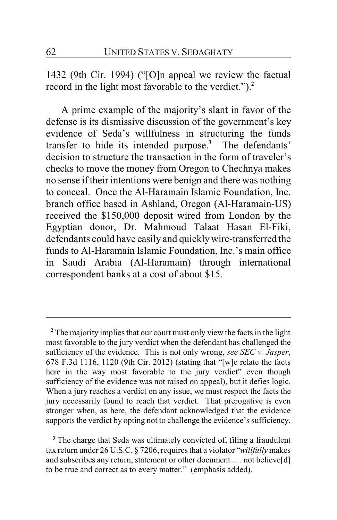1432 (9th Cir. 1994) ("[O]n appeal we review the factual record in the light most favorable to the verdict.").**<sup>2</sup>**

A prime example of the majority's slant in favor of the defense is its dismissive discussion of the government's key evidence of Seda's willfulness in structuring the funds transfer to hide its intended purpose.**<sup>3</sup>** The defendants' decision to structure the transaction in the form of traveler's checks to move the money from Oregon to Chechnya makes no sense if their intentions were benign and there was nothing to conceal. Once the Al-Haramain Islamic Foundation, Inc. branch office based in Ashland, Oregon (Al-Haramain-US) received the \$150,000 deposit wired from London by the Egyptian donor, Dr. Mahmoud Talaat Hasan El-Fiki, defendants could have easily and quicklywire-transferred the funds to Al-Haramain Islamic Foundation, Inc.'s main office in Saudi Arabia (Al-Haramain) through international correspondent banks at a cost of about \$15.

**<sup>2</sup>** The majority implies that our court must only view the facts in the light most favorable to the jury verdict when the defendant has challenged the sufficiency of the evidence. This is not only wrong, *see SEC v. Jasper*, 678 F.3d 1116, 1120 (9th Cir. 2012) (stating that "[w]e relate the facts here in the way most favorable to the jury verdict" even though sufficiency of the evidence was not raised on appeal), but it defies logic. When a jury reaches a verdict on any issue, we must respect the facts the jury necessarily found to reach that verdict. That prerogative is even stronger when, as here, the defendant acknowledged that the evidence supports the verdict by opting not to challenge the evidence's sufficiency.

**<sup>3</sup>** The charge that Seda was ultimately convicted of, filing a fraudulent tax return under 26 U.S.C. § 7206, requires that a violator "*willfully* makes and subscribes any return, statement or other document . . . not believe[d] to be true and correct as to every matter." (emphasis added).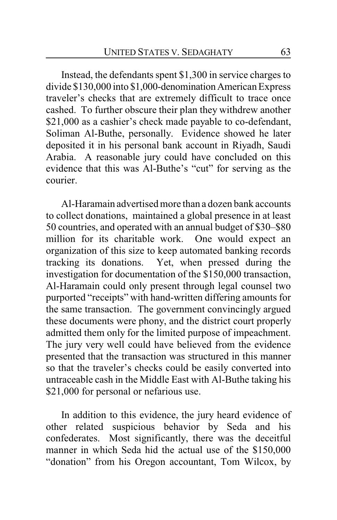Instead, the defendants spent \$1,300 in service charges to divide \$130,000 into \$1,000-denominationAmerican Express traveler's checks that are extremely difficult to trace once cashed. To further obscure their plan they withdrew another \$21,000 as a cashier's check made payable to co-defendant, Soliman Al-Buthe, personally. Evidence showed he later deposited it in his personal bank account in Riyadh, Saudi Arabia. A reasonable jury could have concluded on this evidence that this was Al-Buthe's "cut" for serving as the courier.

Al-Haramain advertised more than a dozen bank accounts to collect donations, maintained a global presence in at least 50 countries, and operated with an annual budget of \$30–\$80 million for its charitable work. One would expect an organization of this size to keep automated banking records tracking its donations. Yet, when pressed during the investigation for documentation of the \$150,000 transaction, Al-Haramain could only present through legal counsel two purported "receipts" with hand-written differing amounts for the same transaction. The government convincingly argued these documents were phony, and the district court properly admitted them only for the limited purpose of impeachment. The jury very well could have believed from the evidence presented that the transaction was structured in this manner so that the traveler's checks could be easily converted into untraceable cash in the Middle East with Al-Buthe taking his \$21,000 for personal or nefarious use.

In addition to this evidence, the jury heard evidence of other related suspicious behavior by Seda and his confederates. Most significantly, there was the deceitful manner in which Seda hid the actual use of the \$150,000 "donation" from his Oregon accountant, Tom Wilcox, by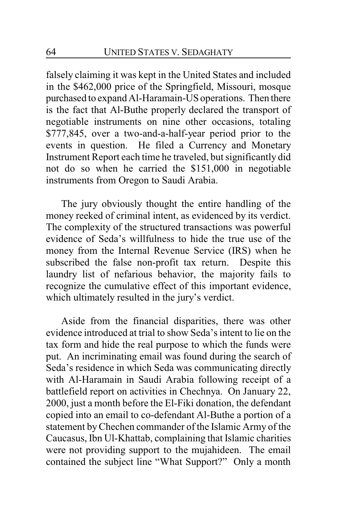falsely claiming it was kept in the United States and included in the \$462,000 price of the Springfield, Missouri, mosque purchased to expand Al-Haramain-US operations. Then there is the fact that Al-Buthe properly declared the transport of negotiable instruments on nine other occasions, totaling \$777,845, over a two-and-a-half-year period prior to the events in question. He filed a Currency and Monetary Instrument Report each time he traveled, but significantly did not do so when he carried the \$151,000 in negotiable instruments from Oregon to Saudi Arabia.

The jury obviously thought the entire handling of the money reeked of criminal intent, as evidenced by its verdict. The complexity of the structured transactions was powerful evidence of Seda's willfulness to hide the true use of the money from the Internal Revenue Service (IRS) when he subscribed the false non-profit tax return. Despite this laundry list of nefarious behavior, the majority fails to recognize the cumulative effect of this important evidence, which ultimately resulted in the jury's verdict.

Aside from the financial disparities, there was other evidence introduced at trial to show Seda's intent to lie on the tax form and hide the real purpose to which the funds were put. An incriminating email was found during the search of Seda's residence in which Seda was communicating directly with Al-Haramain in Saudi Arabia following receipt of a battlefield report on activities in Chechnya. On January 22, 2000, just a month before the El-Fiki donation, the defendant copied into an email to co-defendant Al-Buthe a portion of a statement byChechen commander of the Islamic Army of the Caucasus, Ibn Ul-Khattab, complaining that Islamic charities were not providing support to the mujahideen. The email contained the subject line "What Support?" Only a month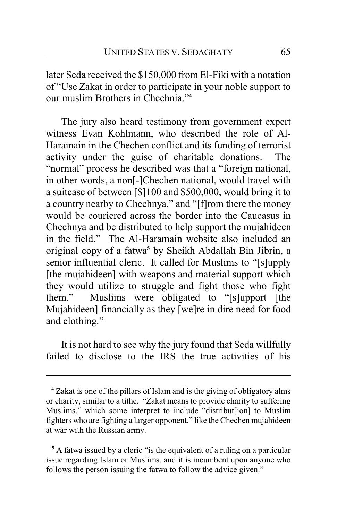later Seda received the \$150,000 from El-Fiki with a notation of "Use Zakat in order to participate in your noble support to our muslim Brothers in Chechnia."**<sup>4</sup>**

The jury also heard testimony from government expert witness Evan Kohlmann, who described the role of Al-Haramain in the Chechen conflict and its funding of terrorist activity under the guise of charitable donations. The "normal" process he described was that a "foreign national, in other words, a non[-]Chechen national, would travel with a suitcase of between [\$]100 and \$500,000, would bring it to a country nearby to Chechnya," and "[f]rom there the money would be couriered across the border into the Caucasus in Chechnya and be distributed to help support the mujahideen in the field." The Al-Haramain website also included an original copy of a fatwa**<sup>5</sup>** by Sheikh Abdallah Bin Jibrin, a senior influential cleric. It called for Muslims to "[s]upply [the mujahideen] with weapons and material support which they would utilize to struggle and fight those who fight them." Muslims were obligated to "[s]upport [the Mujahideen] financially as they [we]re in dire need for food and clothing."

It is not hard to see why the jury found that Seda willfully failed to disclose to the IRS the true activities of his

**<sup>4</sup>** Zakat is one of the pillars of Islam and is the giving of obligatory alms or charity, similar to a tithe. "Zakat means to provide charity to suffering Muslims," which some interpret to include "distribut[ion] to Muslim fighters who are fighting a larger opponent," like the Chechen mujahideen at war with the Russian army.

**<sup>5</sup>** A fatwa issued by a cleric "is the equivalent of a ruling on a particular issue regarding Islam or Muslims, and it is incumbent upon anyone who follows the person issuing the fatwa to follow the advice given."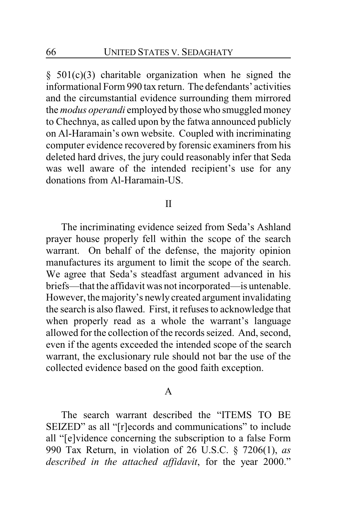§ 501(c)(3) charitable organization when he signed the informational Form 990 tax return. The defendants' activities and the circumstantial evidence surrounding them mirrored the *modus operandi* employed by those who smuggled money to Chechnya, as called upon by the fatwa announced publicly on Al-Haramain's own website. Coupled with incriminating computer evidence recovered by forensic examiners from his deleted hard drives, the jury could reasonably infer that Seda was well aware of the intended recipient's use for any donations from Al-Haramain-US.

#### II

The incriminating evidence seized from Seda's Ashland prayer house properly fell within the scope of the search warrant. On behalf of the defense, the majority opinion manufactures its argument to limit the scope of the search. We agree that Seda's steadfast argument advanced in his briefs—that the affidavit was not incorporated—is untenable. However, the majority's newly created argument invalidating the search is also flawed. First, it refuses to acknowledge that when properly read as a whole the warrant's language allowed for the collection of the records seized. And, second, even if the agents exceeded the intended scope of the search warrant, the exclusionary rule should not bar the use of the collected evidence based on the good faith exception.

#### A

The search warrant described the "ITEMS TO BE SEIZED" as all "[r]ecords and communications" to include all "[e]vidence concerning the subscription to a false Form 990 Tax Return, in violation of 26 U.S.C. § 7206(1), *as described in the attached affidavit*, for the year 2000."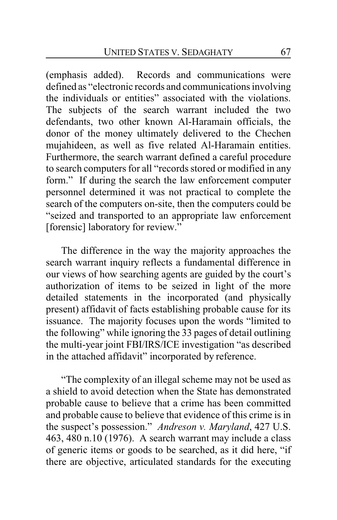(emphasis added). Records and communications were defined as "electronic records and communications involving the individuals or entities" associated with the violations. The subjects of the search warrant included the two defendants, two other known Al-Haramain officials, the donor of the money ultimately delivered to the Chechen mujahideen, as well as five related Al-Haramain entities. Furthermore, the search warrant defined a careful procedure to search computers for all "records stored or modified in any form." If during the search the law enforcement computer personnel determined it was not practical to complete the search of the computers on-site, then the computers could be "seized and transported to an appropriate law enforcement [forensic] laboratory for review."

The difference in the way the majority approaches the search warrant inquiry reflects a fundamental difference in our views of how searching agents are guided by the court's authorization of items to be seized in light of the more detailed statements in the incorporated (and physically present) affidavit of facts establishing probable cause for its issuance. The majority focuses upon the words "limited to the following" while ignoring the 33 pages of detail outlining the multi-year joint FBI/IRS/ICE investigation "as described in the attached affidavit" incorporated by reference.

"The complexity of an illegal scheme may not be used as a shield to avoid detection when the State has demonstrated probable cause to believe that a crime has been committed and probable cause to believe that evidence of this crime is in the suspect's possession." *Andreson v. Maryland*, 427 U.S. 463, 480 n.10 (1976). A search warrant may include a class of generic items or goods to be searched, as it did here, "if there are objective, articulated standards for the executing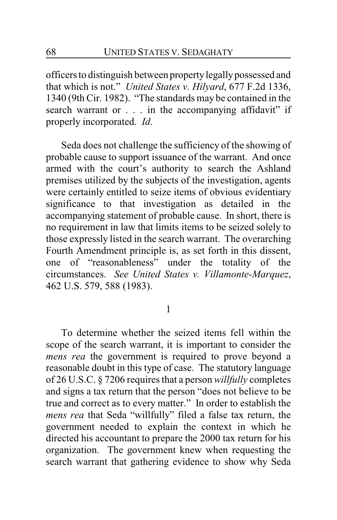officers to distinguish between propertylegallypossessed and that which is not." *United States v. Hilyard*, 677 F.2d 1336, 1340 (9th Cir. 1982). "The standards may be contained in the search warrant or . . . in the accompanying affidavit" if properly incorporated. *Id*.

Seda does not challenge the sufficiency of the showing of probable cause to support issuance of the warrant. And once armed with the court's authority to search the Ashland premises utilized by the subjects of the investigation, agents were certainly entitled to seize items of obvious evidentiary significance to that investigation as detailed in the accompanying statement of probable cause. In short, there is no requirement in law that limits items to be seized solely to those expressly listed in the search warrant. The overarching Fourth Amendment principle is, as set forth in this dissent, one of "reasonableness" under the totality of the circumstances. *See United States v. Villamonte-Marquez*, 462 U.S. 579, 588 (1983).

1

To determine whether the seized items fell within the scope of the search warrant, it is important to consider the *mens rea* the government is required to prove beyond a reasonable doubt in this type of case. The statutory language of 26 U.S.C. § 7206 requires that a person *willfully* completes and signs a tax return that the person "does not believe to be true and correct as to every matter." In order to establish the *mens rea* that Seda "willfully" filed a false tax return, the government needed to explain the context in which he directed his accountant to prepare the 2000 tax return for his organization. The government knew when requesting the search warrant that gathering evidence to show why Seda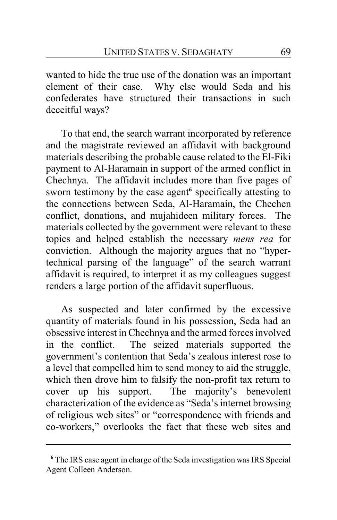wanted to hide the true use of the donation was an important element of their case. Why else would Seda and his confederates have structured their transactions in such deceitful ways?

To that end, the search warrant incorporated by reference and the magistrate reviewed an affidavit with background materials describing the probable cause related to the El-Fiki payment to Al-Haramain in support of the armed conflict in Chechnya. The affidavit includes more than five pages of sworn testimony by the case agent**<sup>6</sup>** specifically attesting to the connections between Seda, Al-Haramain, the Chechen conflict, donations, and mujahideen military forces. The materials collected by the government were relevant to these topics and helped establish the necessary *mens rea* for conviction. Although the majority argues that no "hypertechnical parsing of the language" of the search warrant affidavit is required, to interpret it as my colleagues suggest renders a large portion of the affidavit superfluous.

As suspected and later confirmed by the excessive quantity of materials found in his possession, Seda had an obsessive interest in Chechnya and the armed forces involved in the conflict. The seized materials supported the government's contention that Seda's zealous interest rose to a level that compelled him to send money to aid the struggle, which then drove him to falsify the non-profit tax return to cover up his support. The majority's benevolent characterization of the evidence as "Seda's internet browsing of religious web sites" or "correspondence with friends and co-workers," overlooks the fact that these web sites and

**<sup>6</sup>** The IRS case agent in charge of the Seda investigation was IRS Special Agent Colleen Anderson.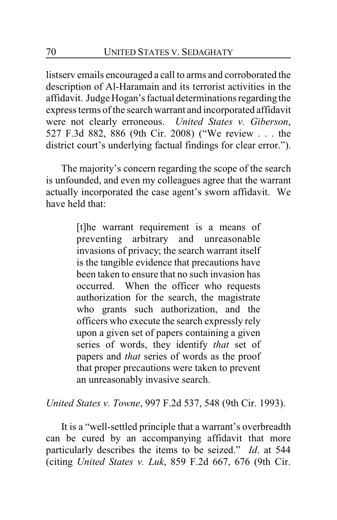listserv emails encouraged a call to arms and corroborated the description of Al-Haramain and its terrorist activities in the affidavit. Judge Hogan'sfactual determinations regarding the express terms of the search warrant and incorporated affidavit were not clearly erroneous. *United States v. Giberson*, 527 F.3d 882, 886 (9th Cir. 2008) ("We review . . . the district court's underlying factual findings for clear error.").

The majority's concern regarding the scope of the search is unfounded, and even my colleagues agree that the warrant actually incorporated the case agent's sworn affidavit. We have held that:

> [t]he warrant requirement is a means of preventing arbitrary and unreasonable invasions of privacy; the search warrant itself is the tangible evidence that precautions have been taken to ensure that no such invasion has occurred. When the officer who requests authorization for the search, the magistrate who grants such authorization, and the officers who execute the search expressly rely upon a given set of papers containing a given series of words, they identify *that* set of papers and *that* series of words as the proof that proper precautions were taken to prevent an unreasonably invasive search.

*United States v. Towne*, 997 F.2d 537, 548 (9th Cir. 1993).

It is a "well-settled principle that a warrant's overbreadth can be cured by an accompanying affidavit that more particularly describes the items to be seized." *Id*. at 544 (citing *United States v. Luk*, 859 F.2d 667, 676 (9th Cir.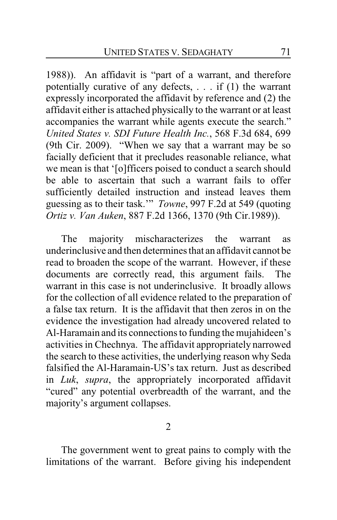1988)). An affidavit is "part of a warrant, and therefore potentially curative of any defects, . . . if (1) the warrant expressly incorporated the affidavit by reference and (2) the affidavit either is attached physically to the warrant or at least accompanies the warrant while agents execute the search." *United States v. SDI Future Health Inc.*, 568 F.3d 684, 699 (9th Cir. 2009). "When we say that a warrant may be so facially deficient that it precludes reasonable reliance, what we mean is that '[o]fficers poised to conduct a search should be able to ascertain that such a warrant fails to offer sufficiently detailed instruction and instead leaves them guessing as to their task.'" *Towne*, 997 F.2d at 549 (quoting *Ortiz v. Van Auken*, 887 F.2d 1366, 1370 (9th Cir.1989)).

The majority mischaracterizes the warrant as underinclusive and then determines that an affidavit cannot be read to broaden the scope of the warrant. However, if these documents are correctly read, this argument fails. The warrant in this case is not underinclusive. It broadly allows for the collection of all evidence related to the preparation of a false tax return. It is the affidavit that then zeros in on the evidence the investigation had already uncovered related to Al-Haramain and its connections to funding the mujahideen's activities in Chechnya. The affidavit appropriately narrowed the search to these activities, the underlying reason why Seda falsified the Al-Haramain-US's tax return. Just as described in *Luk*, *supra*, the appropriately incorporated affidavit "cured" any potential overbreadth of the warrant, and the majority's argument collapses.

2

The government went to great pains to comply with the limitations of the warrant. Before giving his independent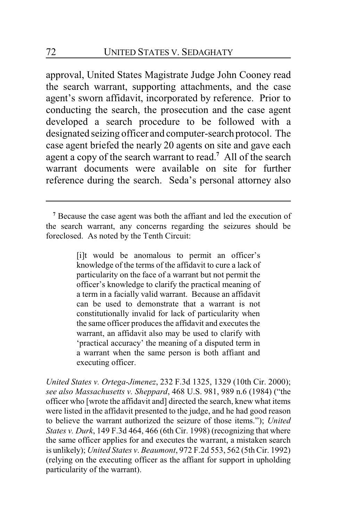approval, United States Magistrate Judge John Cooney read the search warrant, supporting attachments, and the case agent's sworn affidavit, incorporated by reference. Prior to conducting the search, the prosecution and the case agent developed a search procedure to be followed with a designated seizing officer and computer-search protocol. The case agent briefed the nearly 20 agents on site and gave each agent a copy of the search warrant to read.**<sup>7</sup>** All of the search warrant documents were available on site for further reference during the search. Seda's personal attorney also

[i]t would be anomalous to permit an officer's knowledge of the terms of the affidavit to cure a lack of particularity on the face of a warrant but not permit the officer's knowledge to clarify the practical meaning of a term in a facially valid warrant. Because an affidavit can be used to demonstrate that a warrant is not constitutionally invalid for lack of particularity when the same officer produces the affidavit and executes the warrant, an affidavit also may be used to clarify with 'practical accuracy' the meaning of a disputed term in a warrant when the same person is both affiant and executing officer.

*United States v. Ortega-Jimenez*, 232 F.3d 1325, 1329 (10th Cir. 2000); *see also Massachusetts v. Sheppard*, 468 U.S. 981, 989 n.6 (1984) ("the officer who [wrote the affidavit and] directed the search, knew what items were listed in the affidavit presented to the judge, and he had good reason to believe the warrant authorized the seizure of those items."); *United States v. Durk*, 149 F.3d 464, 466 (6th Cir. 1998) (recognizing that where the same officer applies for and executes the warrant, a mistaken search is unlikely); *United States v*. *Beaumont*, 972 F.2d 553, 562 (5thCir. 1992) (relying on the executing officer as the affiant for support in upholding particularity of the warrant).

**<sup>7</sup>** Because the case agent was both the affiant and led the execution of the search warrant, any concerns regarding the seizures should be foreclosed. As noted by the Tenth Circuit: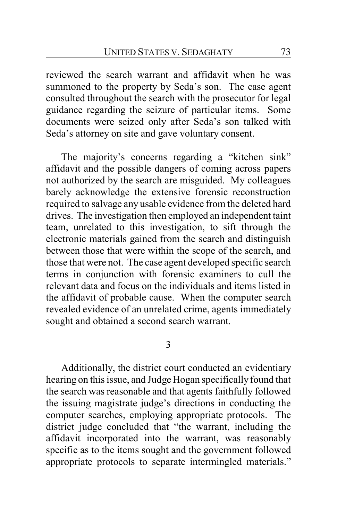reviewed the search warrant and affidavit when he was summoned to the property by Seda's son. The case agent consulted throughout the search with the prosecutor for legal guidance regarding the seizure of particular items. Some documents were seized only after Seda's son talked with Seda's attorney on site and gave voluntary consent.

The majority's concerns regarding a "kitchen sink" affidavit and the possible dangers of coming across papers not authorized by the search are misguided. My colleagues barely acknowledge the extensive forensic reconstruction required to salvage any usable evidence from the deleted hard drives. The investigation then employed an independent taint team, unrelated to this investigation, to sift through the electronic materials gained from the search and distinguish between those that were within the scope of the search, and those that were not. The case agent developed specific search terms in conjunction with forensic examiners to cull the relevant data and focus on the individuals and items listed in the affidavit of probable cause. When the computer search revealed evidence of an unrelated crime, agents immediately sought and obtained a second search warrant.

3

Additionally, the district court conducted an evidentiary hearing on this issue, and Judge Hogan specifically found that the search was reasonable and that agents faithfully followed the issuing magistrate judge's directions in conducting the computer searches, employing appropriate protocols. The district judge concluded that "the warrant, including the affidavit incorporated into the warrant, was reasonably specific as to the items sought and the government followed appropriate protocols to separate intermingled materials."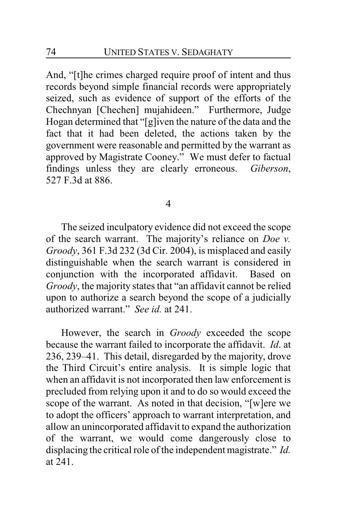And, "[t]he crimes charged require proof of intent and thus records beyond simple financial records were appropriately seized, such as evidence of support of the efforts of the Chechnyan [Chechen] mujahideen." Furthermore, Judge Hogan determined that "[g]iven the nature of the data and the fact that it had been deleted, the actions taken by the government were reasonable and permitted by the warrant as approved by Magistrate Cooney." We must defer to factual findings unless they are clearly erroneous. *Giberson*, 527 F.3d at 886.

4

The seized inculpatory evidence did not exceed the scope of the search warrant. The majority's reliance on *Doe v. Groody*, 361 F.3d 232 (3d Cir. 2004), is misplaced and easily distinguishable when the search warrant is considered in conjunction with the incorporated affidavit. Based on *Groody*, the majority states that "an affidavit cannot be relied upon to authorize a search beyond the scope of a judicially authorized warrant." *See id.* at 241.

However, the search in *Groody* exceeded the scope because the warrant failed to incorporate the affidavit. *Id*. at 236, 239–41. This detail, disregarded by the majority, drove the Third Circuit's entire analysis. It is simple logic that when an affidavit is not incorporated then law enforcement is precluded from relying upon it and to do so would exceed the scope of the warrant. As noted in that decision, "[w]ere we to adopt the officers' approach to warrant interpretation, and allow an unincorporated affidavit to expand the authorization of the warrant, we would come dangerously close to displacing the critical role of the independent magistrate." *Id.* at 241.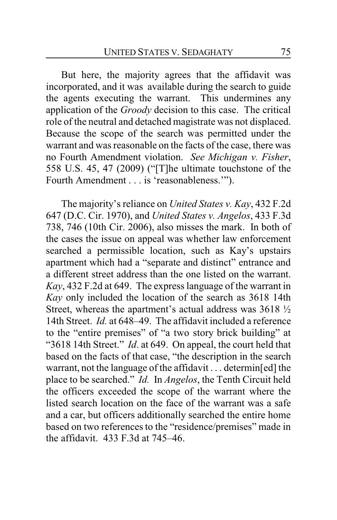But here, the majority agrees that the affidavit was incorporated, and it was available during the search to guide the agents executing the warrant. This undermines any application of the *Groody* decision to this case. The critical role of the neutral and detached magistrate was not displaced. Because the scope of the search was permitted under the warrant and was reasonable on the facts of the case, there was no Fourth Amendment violation. *See Michigan v. Fisher*, 558 U.S. 45, 47 (2009) ("[T]he ultimate touchstone of the Fourth Amendment . . . is 'reasonableness.'").

The majority's reliance on *United States v. Kay*, 432 F.2d 647 (D.C. Cir. 1970), and *United States v. Angelos*, 433 F.3d 738, 746 (10th Cir. 2006), also misses the mark. In both of the cases the issue on appeal was whether law enforcement searched a permissible location, such as Kay's upstairs apartment which had a "separate and distinct" entrance and a different street address than the one listed on the warrant. *Kay*, 432 F.2d at 649. The express language of the warrant in *Kay* only included the location of the search as 3618 14th Street, whereas the apartment's actual address was 3618 ½ 14th Street. *Id.* at 648–49. The affidavit included a reference to the "entire premises" of "a two story brick building" at "3618 14th Street." *Id*. at 649. On appeal, the court held that based on the facts of that case, "the description in the search warrant, not the language of the affidavit . . . determin[ed] the place to be searched." *Id.* In *Angelos*, the Tenth Circuit held the officers exceeded the scope of the warrant where the listed search location on the face of the warrant was a safe and a car, but officers additionally searched the entire home based on two references to the "residence/premises" made in the affidavit. 433 F.3d at 745–46.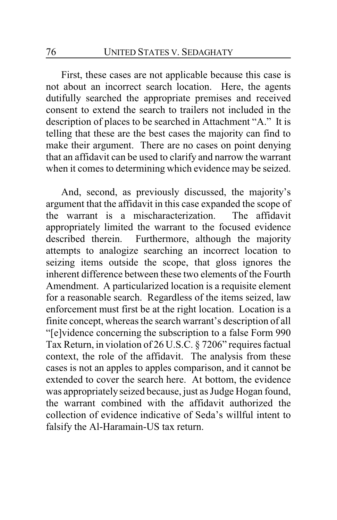First, these cases are not applicable because this case is not about an incorrect search location. Here, the agents dutifully searched the appropriate premises and received consent to extend the search to trailers not included in the description of places to be searched in Attachment "A." It is telling that these are the best cases the majority can find to make their argument. There are no cases on point denying that an affidavit can be used to clarify and narrow the warrant when it comes to determining which evidence may be seized.

And, second, as previously discussed, the majority's argument that the affidavit in this case expanded the scope of the warrant is a mischaracterization. The affidavit appropriately limited the warrant to the focused evidence described therein. Furthermore, although the majority attempts to analogize searching an incorrect location to seizing items outside the scope, that gloss ignores the inherent difference between these two elements of the Fourth Amendment. A particularized location is a requisite element for a reasonable search. Regardless of the items seized, law enforcement must first be at the right location. Location is a finite concept, whereas the search warrant's description of all "[e]vidence concerning the subscription to a false Form 990 Tax Return, in violation of 26 U.S.C. § 7206" requires factual context, the role of the affidavit. The analysis from these cases is not an apples to apples comparison, and it cannot be extended to cover the search here. At bottom, the evidence was appropriately seized because, just as Judge Hogan found, the warrant combined with the affidavit authorized the collection of evidence indicative of Seda's willful intent to falsify the Al-Haramain-US tax return.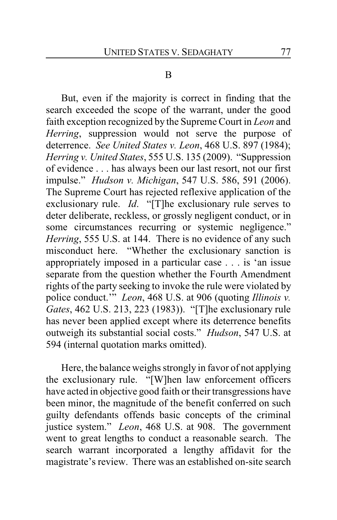## B

But, even if the majority is correct in finding that the search exceeded the scope of the warrant, under the good faith exception recognized by the Supreme Court in *Leon* and *Herring*, suppression would not serve the purpose of deterrence. *See United States v. Leon*, 468 U.S. 897 (1984); *Herring v. United States*, 555 U.S. 135 (2009). "Suppression of evidence . . . has always been our last resort, not our first impulse." *Hudson v. Michigan*, 547 U.S. 586, 591 (2006). The Supreme Court has rejected reflexive application of the exclusionary rule. *Id*. "[T]he exclusionary rule serves to deter deliberate, reckless, or grossly negligent conduct, or in some circumstances recurring or systemic negligence." *Herring*, 555 U.S. at 144. There is no evidence of any such misconduct here. "Whether the exclusionary sanction is appropriately imposed in a particular case . . . is 'an issue separate from the question whether the Fourth Amendment rights of the party seeking to invoke the rule were violated by police conduct.'" *Leon*, 468 U.S. at 906 (quoting *Illinois v. Gates*, 462 U.S. 213, 223 (1983)). "[T]he exclusionary rule has never been applied except where its deterrence benefits outweigh its substantial social costs." *Hudson*, 547 U.S. at 594 (internal quotation marks omitted).

Here, the balance weighs strongly in favor of not applying the exclusionary rule. "[W]hen law enforcement officers have acted in objective good faith or their transgressions have been minor, the magnitude of the benefit conferred on such guilty defendants offends basic concepts of the criminal justice system." *Leon*, 468 U.S. at 908. The government went to great lengths to conduct a reasonable search. The search warrant incorporated a lengthy affidavit for the magistrate's review. There was an established on-site search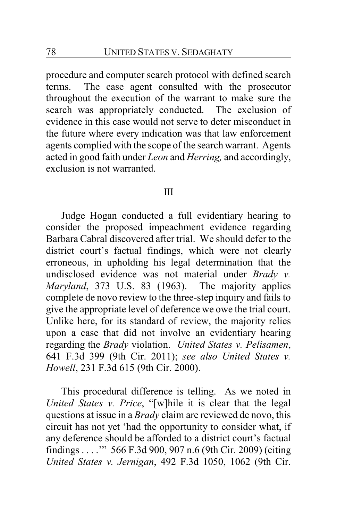procedure and computer search protocol with defined search terms. The case agent consulted with the prosecutor throughout the execution of the warrant to make sure the search was appropriately conducted. The exclusion of evidence in this case would not serve to deter misconduct in the future where every indication was that law enforcement agents complied with the scope of the search warrant. Agents acted in good faith under *Leon* and *Herring,* and accordingly, exclusion is not warranted.

## III

Judge Hogan conducted a full evidentiary hearing to consider the proposed impeachment evidence regarding Barbara Cabral discovered after trial. We should defer to the district court's factual findings, which were not clearly erroneous, in upholding his legal determination that the undisclosed evidence was not material under *Brady v. Maryland*, 373 U.S. 83 (1963). The majority applies complete de novo review to the three-step inquiry and fails to give the appropriate level of deference we owe the trial court. Unlike here, for its standard of review, the majority relies upon a case that did not involve an evidentiary hearing regarding the *Brady* violation. *United States v. Pelisamen*, 641 F.3d 399 (9th Cir. 2011); *see also United States v. Howell*, 231 F.3d 615 (9th Cir. 2000).

This procedural difference is telling. As we noted in *United States v. Price*, "[w]hile it is clear that the legal questions at issue in a *Brady* claim are reviewed de novo, this circuit has not yet 'had the opportunity to consider what, if any deference should be afforded to a district court's factual findings . . . .'" 566 F.3d 900, 907 n.6 (9th Cir. 2009) (citing *United States v. Jernigan*, 492 F.3d 1050, 1062 (9th Cir.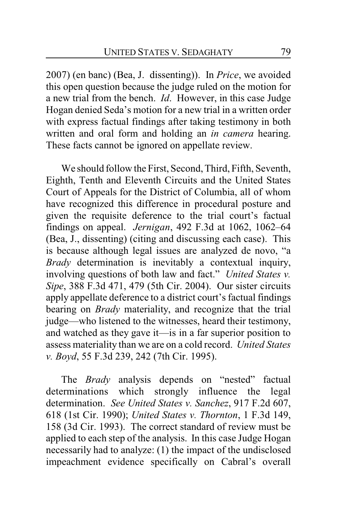2007) (en banc) (Bea, J. dissenting)). In *Price*, we avoided this open question because the judge ruled on the motion for a new trial from the bench. *Id*. However, in this case Judge Hogan denied Seda's motion for a new trial in a written order with express factual findings after taking testimony in both written and oral form and holding an *in camera* hearing. These facts cannot be ignored on appellate review.

We should follow the First, Second, Third, Fifth, Seventh, Eighth, Tenth and Eleventh Circuits and the United States Court of Appeals for the District of Columbia, all of whom have recognized this difference in procedural posture and given the requisite deference to the trial court's factual findings on appeal. *Jernigan*, 492 F.3d at 1062, 1062–64 (Bea, J., dissenting) (citing and discussing each case). This is because although legal issues are analyzed de novo, "a *Brady* determination is inevitably a contextual inquiry, involving questions of both law and fact." *United States v. Sipe*, 388 F.3d 471, 479 (5th Cir. 2004). Our sister circuits apply appellate deference to a district court's factual findings bearing on *Brady* materiality, and recognize that the trial judge—who listened to the witnesses, heard their testimony, and watched as they gave it—is in a far superior position to assess materiality than we are on a cold record. *United States v. Boyd*, 55 F.3d 239, 242 (7th Cir. 1995).

The *Brady* analysis depends on "nested" factual determinations which strongly influence the legal determination. *See United States v. Sanchez*, 917 F.2d 607, 618 (1st Cir. 1990); *United States v. Thornton*, 1 F.3d 149, 158 (3d Cir. 1993). The correct standard of review must be applied to each step of the analysis. In this case Judge Hogan necessarily had to analyze: (1) the impact of the undisclosed impeachment evidence specifically on Cabral's overall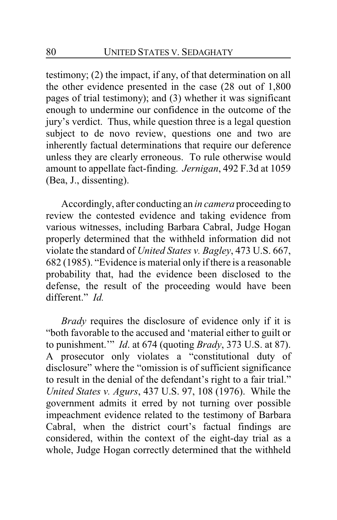testimony; (2) the impact, if any, of that determination on all the other evidence presented in the case (28 out of 1,800 pages of trial testimony); and (3) whether it was significant enough to undermine our confidence in the outcome of the jury's verdict. Thus, while question three is a legal question subject to de novo review, questions one and two are inherently factual determinations that require our deference unless they are clearly erroneous. To rule otherwise would amount to appellate fact-finding. *Jernigan*, 492 F.3d at 1059 (Bea, J., dissenting).

Accordingly, after conducting an *in camera* proceeding to review the contested evidence and taking evidence from various witnesses, including Barbara Cabral, Judge Hogan properly determined that the withheld information did not violate the standard of *United States v. Bagley*, 473 U.S. 667, 682 (1985). "Evidence is material only if there is a reasonable probability that, had the evidence been disclosed to the defense, the result of the proceeding would have been different." *Id.*

*Brady* requires the disclosure of evidence only if it is "both favorable to the accused and 'material either to guilt or to punishment.'" *Id*. at 674 (quoting *Brady*, 373 U.S. at 87). A prosecutor only violates a "constitutional duty of disclosure" where the "omission is of sufficient significance to result in the denial of the defendant's right to a fair trial." *United States v. Agurs*, 437 U.S. 97, 108 (1976). While the government admits it erred by not turning over possible impeachment evidence related to the testimony of Barbara Cabral, when the district court's factual findings are considered, within the context of the eight-day trial as a whole, Judge Hogan correctly determined that the withheld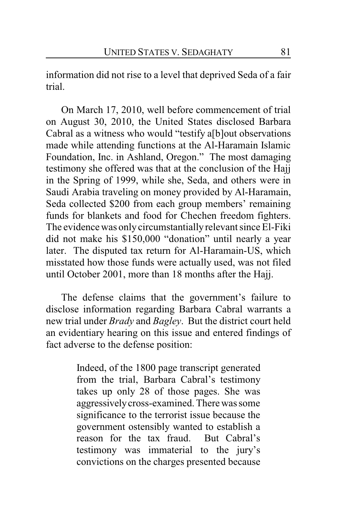information did not rise to a level that deprived Seda of a fair trial.

On March 17, 2010, well before commencement of trial on August 30, 2010, the United States disclosed Barbara Cabral as a witness who would "testify a[b]out observations made while attending functions at the Al-Haramain Islamic Foundation, Inc. in Ashland, Oregon." The most damaging testimony she offered was that at the conclusion of the Hajj in the Spring of 1999, while she, Seda, and others were in Saudi Arabia traveling on money provided by Al-Haramain, Seda collected \$200 from each group members' remaining funds for blankets and food for Chechen freedom fighters. The evidence was only circumstantially relevant since El-Fiki did not make his \$150,000 "donation" until nearly a year later. The disputed tax return for Al-Haramain-US, which misstated how those funds were actually used, was not filed until October 2001, more than 18 months after the Hajj.

The defense claims that the government's failure to disclose information regarding Barbara Cabral warrants a new trial under *Brady* and *Bagley*. But the district court held an evidentiary hearing on this issue and entered findings of fact adverse to the defense position:

> Indeed, of the 1800 page transcript generated from the trial, Barbara Cabral's testimony takes up only 28 of those pages. She was aggressivelycross-examined. There was some significance to the terrorist issue because the government ostensibly wanted to establish a reason for the tax fraud. But Cabral's testimony was immaterial to the jury's convictions on the charges presented because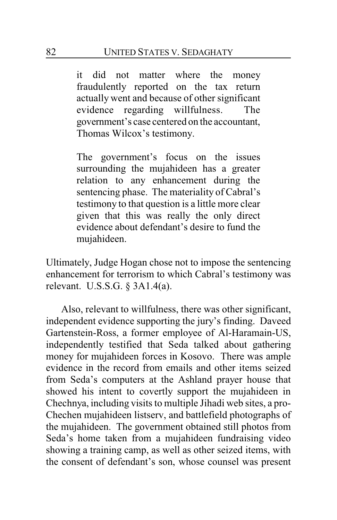it did not matter where the money fraudulently reported on the tax return actually went and because of other significant evidence regarding willfulness. The government's case centered on the accountant, Thomas Wilcox's testimony.

The government's focus on the issues surrounding the mujahideen has a greater relation to any enhancement during the sentencing phase. The materiality of Cabral's testimony to that question is a little more clear given that this was really the only direct evidence about defendant's desire to fund the mujahideen.

Ultimately, Judge Hogan chose not to impose the sentencing enhancement for terrorism to which Cabral's testimony was relevant. U.S.S.G. § 3A1.4(a).

Also, relevant to willfulness, there was other significant, independent evidence supporting the jury's finding. Daveed Gartenstein-Ross, a former employee of Al-Haramain-US, independently testified that Seda talked about gathering money for mujahideen forces in Kosovo. There was ample evidence in the record from emails and other items seized from Seda's computers at the Ashland prayer house that showed his intent to covertly support the mujahideen in Chechnya, including visits to multiple Jihadi web sites, a pro-Chechen mujahideen listserv, and battlefield photographs of the mujahideen. The government obtained still photos from Seda's home taken from a mujahideen fundraising video showing a training camp, as well as other seized items, with the consent of defendant's son, whose counsel was present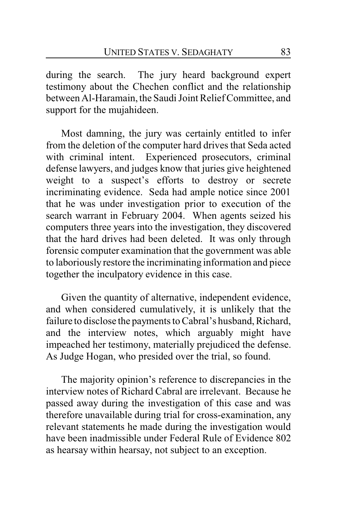during the search. The jury heard background expert testimony about the Chechen conflict and the relationship between Al-Haramain, the Saudi Joint Relief Committee, and support for the mujahideen.

Most damning, the jury was certainly entitled to infer from the deletion of the computer hard drives that Seda acted with criminal intent. Experienced prosecutors, criminal defense lawyers, and judges know that juries give heightened weight to a suspect's efforts to destroy or secrete incriminating evidence. Seda had ample notice since 2001 that he was under investigation prior to execution of the search warrant in February 2004. When agents seized his computers three years into the investigation, they discovered that the hard drives had been deleted. It was only through forensic computer examination that the government was able to laboriously restore the incriminating information and piece together the inculpatory evidence in this case.

Given the quantity of alternative, independent evidence, and when considered cumulatively, it is unlikely that the failure to disclose the payments to Cabral's husband, Richard, and the interview notes, which arguably might have impeached her testimony, materially prejudiced the defense. As Judge Hogan, who presided over the trial, so found.

The majority opinion's reference to discrepancies in the interview notes of Richard Cabral are irrelevant. Because he passed away during the investigation of this case and was therefore unavailable during trial for cross-examination, any relevant statements he made during the investigation would have been inadmissible under Federal Rule of Evidence 802 as hearsay within hearsay, not subject to an exception.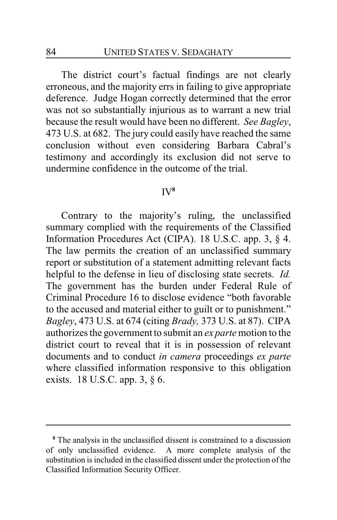The district court's factual findings are not clearly erroneous, and the majority errs in failing to give appropriate deference. Judge Hogan correctly determined that the error was not so substantially injurious as to warrant a new trial because the result would have been no different. *See Bagley*, 473 U.S. at 682. The jury could easily have reached the same conclusion without even considering Barbara Cabral's testimony and accordingly its exclusion did not serve to undermine confidence in the outcome of the trial.

## IV **8**

Contrary to the majority's ruling, the unclassified summary complied with the requirements of the Classified Information Procedures Act (CIPA). 18 U.S.C. app. 3, § 4. The law permits the creation of an unclassified summary report or substitution of a statement admitting relevant facts helpful to the defense in lieu of disclosing state secrets. *Id.* The government has the burden under Federal Rule of Criminal Procedure 16 to disclose evidence "both favorable to the accused and material either to guilt or to punishment." *Bagley*, 473 U.S. at 674 (citing *Brady,* 373 U.S. at 87). CIPA authorizes the government to submit an *ex parte*motion to the district court to reveal that it is in possession of relevant documents and to conduct *in camera* proceedings *ex parte* where classified information responsive to this obligation exists. 18 U.S.C. app. 3, § 6.

**<sup>8</sup>** The analysis in the unclassified dissent is constrained to a discussion of only unclassified evidence. A more complete analysis of the substitution is included in the classified dissent under the protection of the Classified Information Security Officer.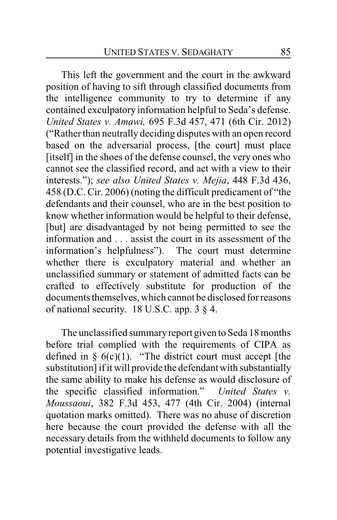This left the government and the court in the awkward position of having to sift through classified documents from the intelligence community to try to determine if any contained exculpatory information helpful to Seda's defense. *United States v. Amawi,* 695 F.3d 457, 471 (6th Cir. 2012) ("Rather than neutrally deciding disputes with an open record based on the adversarial process, [the court] must place [itself] in the shoes of the defense counsel, the very ones who cannot see the classified record, and act with a view to their interests."); *see also United States v. Mejia*, 448 F.3d 436, 458 (D.C. Cir. 2006) (noting the difficult predicament of "the defendants and their counsel, who are in the best position to know whether information would be helpful to their defense, [but] are disadvantaged by not being permitted to see the information and . . . assist the court in its assessment of the information's helpfulness"). The court must determine whether there is exculpatory material and whether an unclassified summary or statement of admitted facts can be crafted to effectively substitute for production of the documents themselves, which cannot be disclosed for reasons of national security. 18 U.S.C. app. 3 § 4.

The unclassified summaryreport given to Seda 18 months before trial complied with the requirements of CIPA as defined in  $\S$  6(c)(1). "The district court must accept [the substitution] if it will provide the defendant with substantially the same ability to make his defense as would disclosure of the specific classified information." *United States v. Moussaoui*, 382 F.3d 453, 477 (4th Cir. 2004) (internal quotation marks omitted). There was no abuse of discretion here because the court provided the defense with all the necessary details from the withheld documents to follow any potential investigative leads.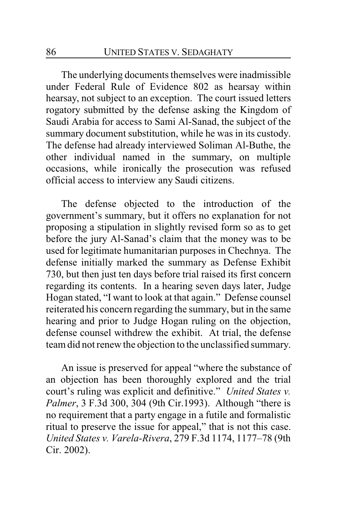The underlying documents themselves were inadmissible under Federal Rule of Evidence 802 as hearsay within hearsay, not subject to an exception. The court issued letters rogatory submitted by the defense asking the Kingdom of Saudi Arabia for access to Sami Al-Sanad, the subject of the summary document substitution, while he was in its custody. The defense had already interviewed Soliman Al-Buthe, the other individual named in the summary, on multiple occasions, while ironically the prosecution was refused official access to interview any Saudi citizens.

The defense objected to the introduction of the government's summary, but it offers no explanation for not proposing a stipulation in slightly revised form so as to get before the jury Al-Sanad's claim that the money was to be used for legitimate humanitarian purposes in Chechnya. The defense initially marked the summary as Defense Exhibit 730, but then just ten days before trial raised its first concern regarding its contents. In a hearing seven days later, Judge Hogan stated, "I want to look at that again." Defense counsel reiterated his concern regarding the summary, but in the same hearing and prior to Judge Hogan ruling on the objection, defense counsel withdrew the exhibit. At trial, the defense team did not renew the objection to the unclassified summary.

An issue is preserved for appeal "where the substance of an objection has been thoroughly explored and the trial court's ruling was explicit and definitive." *United States v. Palmer*, 3 F.3d 300, 304 (9th Cir.1993). Although "there is no requirement that a party engage in a futile and formalistic ritual to preserve the issue for appeal," that is not this case. *United States v. Varela-Rivera*, 279 F.3d 1174, 1177–78 (9th Cir. 2002).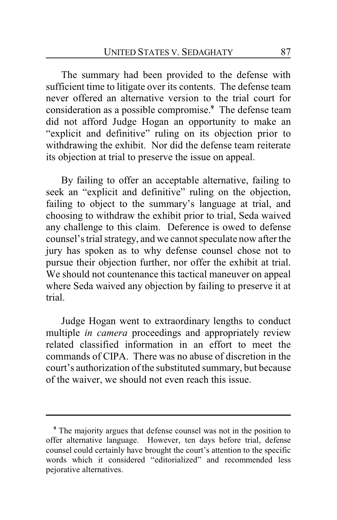The summary had been provided to the defense with sufficient time to litigate over its contents. The defense team never offered an alternative version to the trial court for consideration as a possible compromise.**<sup>9</sup>** The defense team did not afford Judge Hogan an opportunity to make an "explicit and definitive" ruling on its objection prior to withdrawing the exhibit. Nor did the defense team reiterate its objection at trial to preserve the issue on appeal.

By failing to offer an acceptable alternative, failing to seek an "explicit and definitive" ruling on the objection, failing to object to the summary's language at trial, and choosing to withdraw the exhibit prior to trial, Seda waived any challenge to this claim. Deference is owed to defense counsel's trial strategy, and we cannot speculate now after the jury has spoken as to why defense counsel chose not to pursue their objection further, nor offer the exhibit at trial. We should not countenance this tactical maneuver on appeal where Seda waived any objection by failing to preserve it at trial.

Judge Hogan went to extraordinary lengths to conduct multiple *in camera* proceedings and appropriately review related classified information in an effort to meet the commands of CIPA. There was no abuse of discretion in the court's authorization of the substituted summary, but because of the waiver, we should not even reach this issue.

**<sup>9</sup>** The majority argues that defense counsel was not in the position to offer alternative language. However, ten days before trial, defense counsel could certainly have brought the court's attention to the specific words which it considered "editorialized" and recommended less pejorative alternatives.